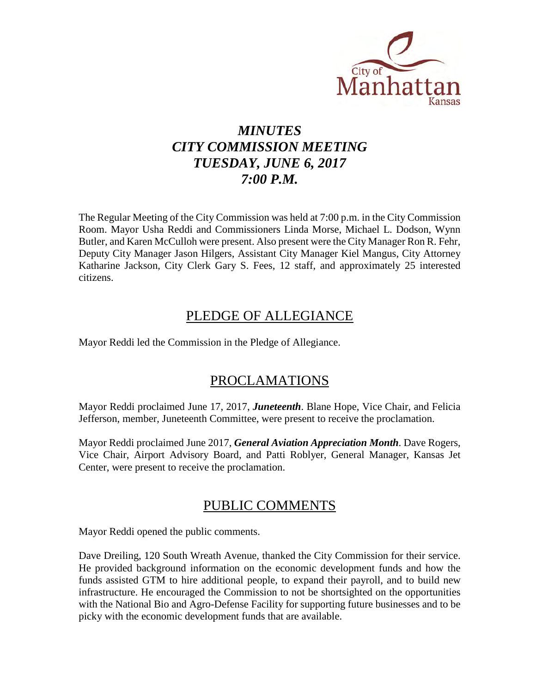

# *MINUTES CITY COMMISSION MEETING TUESDAY, JUNE 6, 2017 7:00 P.M.*

The Regular Meeting of the City Commission was held at 7:00 p.m. in the City Commission Room. Mayor Usha Reddi and Commissioners Linda Morse, Michael L. Dodson, Wynn Butler, and Karen McCulloh were present. Also present were the City Manager Ron R. Fehr, Deputy City Manager Jason Hilgers, Assistant City Manager Kiel Mangus, City Attorney Katharine Jackson, City Clerk Gary S. Fees, 12 staff, and approximately 25 interested citizens.

# PLEDGE OF ALLEGIANCE

Mayor Reddi led the Commission in the Pledge of Allegiance.

# PROCLAMATIONS

Mayor Reddi proclaimed June 17, 2017, *Juneteenth*. Blane Hope, Vice Chair, and Felicia Jefferson, member, Juneteenth Committee, were present to receive the proclamation.

Mayor Reddi proclaimed June 2017, *General Aviation Appreciation Month*. Dave Rogers, Vice Chair, Airport Advisory Board, and Patti Roblyer, General Manager, Kansas Jet Center, were present to receive the proclamation.

# PUBLIC COMMENTS

Mayor Reddi opened the public comments.

Dave Dreiling, 120 South Wreath Avenue, thanked the City Commission for their service. He provided background information on the economic development funds and how the funds assisted GTM to hire additional people, to expand their payroll, and to build new infrastructure. He encouraged the Commission to not be shortsighted on the opportunities with the National Bio and Agro-Defense Facility for supporting future businesses and to be picky with the economic development funds that are available.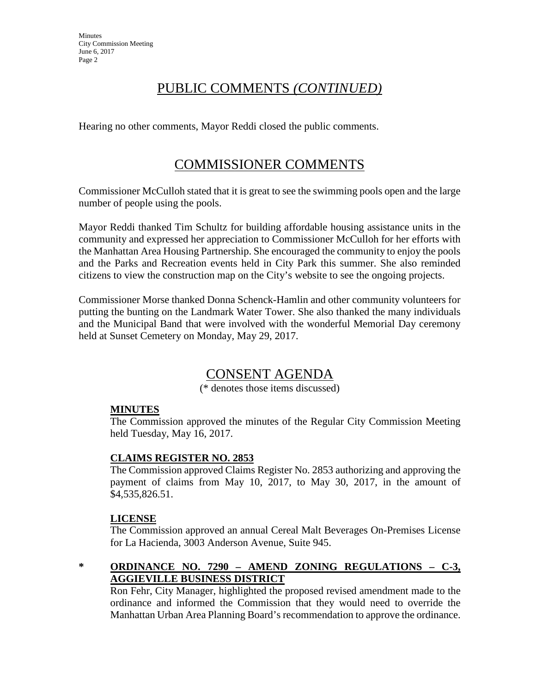# PUBLIC COMMENTS *(CONTINUED)*

Hearing no other comments, Mayor Reddi closed the public comments.

# COMMISSIONER COMMENTS

Commissioner McCulloh stated that it is great to see the swimming pools open and the large number of people using the pools.

Mayor Reddi thanked Tim Schultz for building affordable housing assistance units in the community and expressed her appreciation to Commissioner McCulloh for her efforts with the Manhattan Area Housing Partnership. She encouraged the community to enjoy the pools and the Parks and Recreation events held in City Park this summer. She also reminded citizens to view the construction map on the City's website to see the ongoing projects.

Commissioner Morse thanked Donna Schenck-Hamlin and other community volunteers for putting the bunting on the Landmark Water Tower. She also thanked the many individuals and the Municipal Band that were involved with the wonderful Memorial Day ceremony held at Sunset Cemetery on Monday, May 29, 2017.

# CONSENT AGENDA

(\* denotes those items discussed)

# **MINUTES**

The Commission approved the minutes of the Regular City Commission Meeting held Tuesday, May 16, 2017.

# **CLAIMS REGISTER NO. 2853**

The Commission approved Claims Register No. 2853 authorizing and approving the payment of claims from May 10, 2017, to May 30, 2017, in the amount of \$4,535,826.51.

#### **LICENSE**

The Commission approved an annual Cereal Malt Beverages On-Premises License for La Hacienda, 3003 Anderson Avenue, Suite 945.

# **\* ORDINANCE NO. 7290 – AMEND ZONING REGULATIONS – C-3, AGGIEVILLE BUSINESS DISTRICT**

Ron Fehr, City Manager, highlighted the proposed revised amendment made to the ordinance and informed the Commission that they would need to override the Manhattan Urban Area Planning Board's recommendation to approve the ordinance.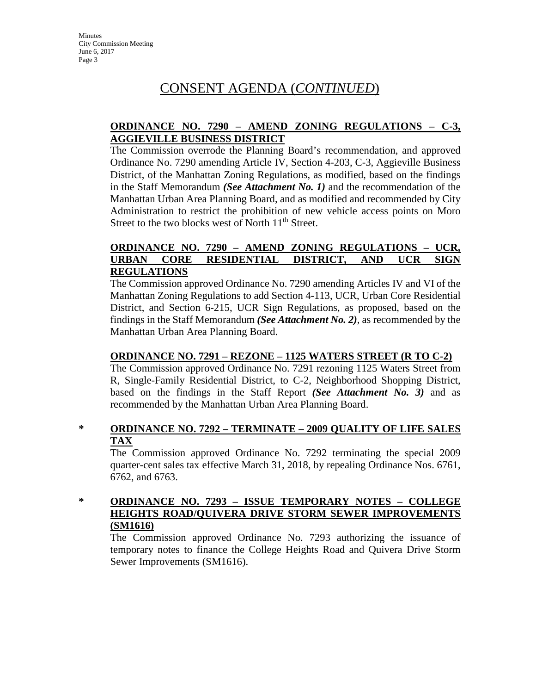#### **ORDINANCE NO. 7290 – AMEND ZONING REGULATIONS – C-3, AGGIEVILLE BUSINESS DISTRICT**

The Commission overrode the Planning Board's recommendation, and approved Ordinance No. 7290 amending Article IV, Section 4-203, C-3, Aggieville Business District, of the Manhattan Zoning Regulations, as modified, based on the findings in the Staff Memorandum *(See Attachment No. 1)* and the recommendation of the Manhattan Urban Area Planning Board, and as modified and recommended by City Administration to restrict the prohibition of new vehicle access points on Moro Street to the two blocks west of North 11<sup>th</sup> Street.

#### **ORDINANCE NO. 7290 – AMEND ZONING REGULATIONS – UCR, URBAN CORE RESIDENTIAL DISTRICT, AND UCR SIGN REGULATIONS**

The Commission approved Ordinance No. 7290 amending Articles IV and VI of the Manhattan Zoning Regulations to add Section 4-113, UCR, Urban Core Residential District, and Section 6-215, UCR Sign Regulations, as proposed, based on the findings in the Staff Memorandum *(See Attachment No. 2)*, as recommended by the Manhattan Urban Area Planning Board.

#### **ORDINANCE NO. 7291 – REZONE – 1125 WATERS STREET (R TO C-2)**

The Commission approved Ordinance No. 7291 rezoning 1125 Waters Street from R, Single-Family Residential District, to C-2, Neighborhood Shopping District, based on the findings in the Staff Report *(See Attachment No. 3)* and as recommended by the Manhattan Urban Area Planning Board.

#### **\* ORDINANCE NO. 7292 – TERMINATE – 2009 QUALITY OF LIFE SALES TAX**

The Commission approved Ordinance No. 7292 terminating the special 2009 quarter-cent sales tax effective March 31, 2018, by repealing Ordinance Nos. 6761, 6762, and 6763.

#### **\* ORDINANCE NO. 7293 – ISSUE TEMPORARY NOTES – COLLEGE HEIGHTS ROAD/QUIVERA DRIVE STORM SEWER IMPROVEMENTS (SM1616)**

The Commission approved Ordinance No. 7293 authorizing the issuance of temporary notes to finance the College Heights Road and Quivera Drive Storm Sewer Improvements (SM1616).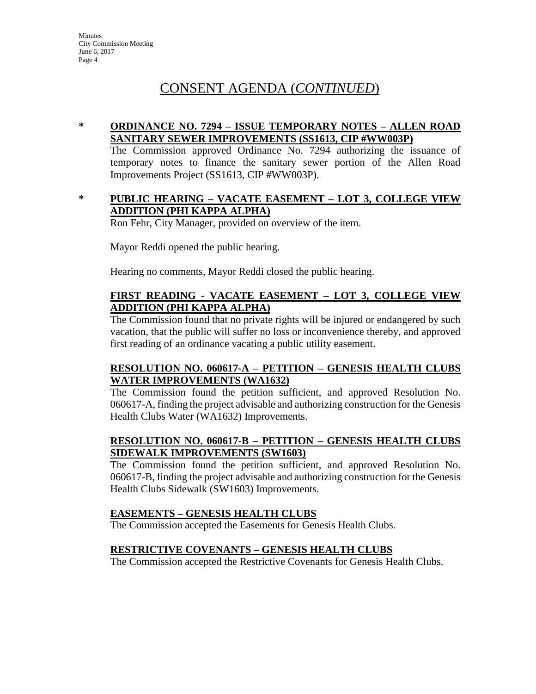# CONSENT AGENDA (*CONTINUED*)

#### **\* ORDINANCE NO. 7294 – ISSUE TEMPORARY NOTES – ALLEN ROAD SANITARY SEWER IMPROVEMENTS (SS1613, CIP #WW003P)**

The Commission approved Ordinance No. 7294 authorizing the issuance of temporary notes to finance the sanitary sewer portion of the Allen Road Improvements Project (SS1613, CIP #WW003P).

#### **\* PUBLIC HEARING – VACATE EASEMENT – LOT 3, COLLEGE VIEW ADDITION (PHI KAPPA ALPHA)**

Ron Fehr, City Manager, provided on overview of the item.

Mayor Reddi opened the public hearing.

Hearing no comments, Mayor Reddi closed the public hearing.

#### **FIRST READING - VACATE EASEMENT – LOT 3, COLLEGE VIEW ADDITION (PHI KAPPA ALPHA)**

The Commission found that no private rights will be injured or endangered by such vacation, that the public will suffer no loss or inconvenience thereby, and approved first reading of an ordinance vacating a public utility easement.

#### **RESOLUTION NO. 060617-A – PETITION – GENESIS HEALTH CLUBS WATER IMPROVEMENTS (WA1632)**

The Commission found the petition sufficient, and approved Resolution No. 060617-A, finding the project advisable and authorizing construction for the Genesis Health Clubs Water (WA1632) Improvements.

#### **RESOLUTION NO. 060617-B – PETITION – GENESIS HEALTH CLUBS SIDEWALK IMPROVEMENTS (SW1603)**

The Commission found the petition sufficient, and approved Resolution No. 060617-B, finding the project advisable and authorizing construction for the Genesis Health Clubs Sidewalk (SW1603) Improvements.

#### **EASEMENTS – GENESIS HEALTH CLUBS**

The Commission accepted the Easements for Genesis Health Clubs.

#### **RESTRICTIVE COVENANTS – GENESIS HEALTH CLUBS**

The Commission accepted the Restrictive Covenants for Genesis Health Clubs.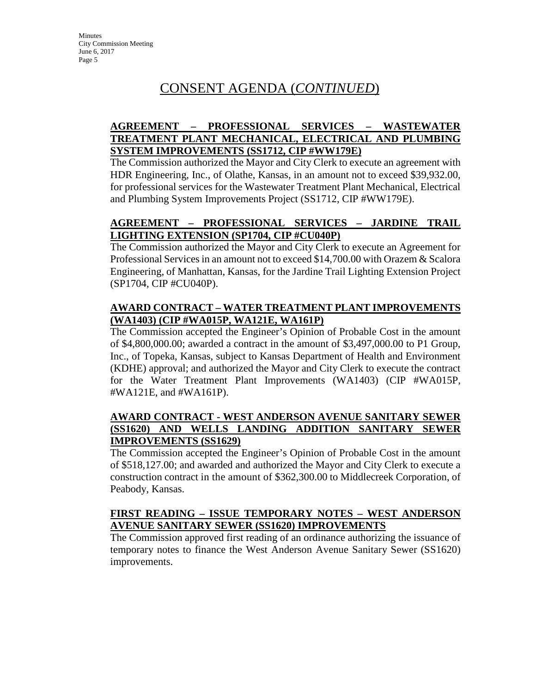## **AGREEMENT – PROFESSIONAL SERVICES – WASTEWATER TREATMENT PLANT MECHANICAL, ELECTRICAL AND PLUMBING SYSTEM IMPROVEMENTS (SS1712, CIP #WW179E)**

The Commission authorized the Mayor and City Clerk to execute an agreement with HDR Engineering, Inc., of Olathe, Kansas, in an amount not to exceed \$39,932.00, for professional services for the Wastewater Treatment Plant Mechanical, Electrical and Plumbing System Improvements Project (SS1712, CIP #WW179E).

## **AGREEMENT – PROFESSIONAL SERVICES – JARDINE TRAIL LIGHTING EXTENSION (SP1704, CIP #CU040P)**

The Commission authorized the Mayor and City Clerk to execute an Agreement for Professional Services in an amount not to exceed \$14,700.00 with Orazem & Scalora Engineering, of Manhattan, Kansas, for the Jardine Trail Lighting Extension Project (SP1704, CIP #CU040P).

### **AWARD CONTRACT – WATER TREATMENT PLANT IMPROVEMENTS (WA1403) (CIP #WA015P, WA121E, WA161P)**

The Commission accepted the Engineer's Opinion of Probable Cost in the amount of \$4,800,000.00; awarded a contract in the amount of \$3,497,000.00 to P1 Group, Inc., of Topeka, Kansas, subject to Kansas Department of Health and Environment (KDHE) approval; and authorized the Mayor and City Clerk to execute the contract for the Water Treatment Plant Improvements (WA1403) (CIP #WA015P, #WA121E, and #WA161P).

#### **AWARD CONTRACT - WEST ANDERSON AVENUE SANITARY SEWER (SS1620) AND WELLS LANDING ADDITION SANITARY SEWER IMPROVEMENTS (SS1629)**

The Commission accepted the Engineer's Opinion of Probable Cost in the amount of \$518,127.00; and awarded and authorized the Mayor and City Clerk to execute a construction contract in the amount of \$362,300.00 to Middlecreek Corporation, of Peabody, Kansas.

#### **FIRST READING – ISSUE TEMPORARY NOTES – WEST ANDERSON AVENUE SANITARY SEWER (SS1620) IMPROVEMENTS**

The Commission approved first reading of an ordinance authorizing the issuance of temporary notes to finance the West Anderson Avenue Sanitary Sewer (SS1620) improvements.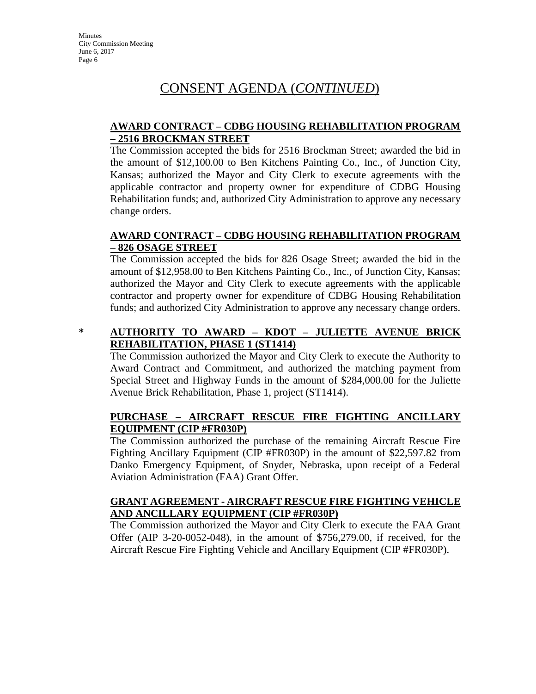#### **AWARD CONTRACT – CDBG HOUSING REHABILITATION PROGRAM – 2516 BROCKMAN STREET**

The Commission accepted the bids for 2516 Brockman Street; awarded the bid in the amount of \$12,100.00 to Ben Kitchens Painting Co., Inc., of Junction City, Kansas; authorized the Mayor and City Clerk to execute agreements with the applicable contractor and property owner for expenditure of CDBG Housing Rehabilitation funds; and, authorized City Administration to approve any necessary change orders.

#### **AWARD CONTRACT – CDBG HOUSING REHABILITATION PROGRAM – 826 OSAGE STREET**

The Commission accepted the bids for 826 Osage Street; awarded the bid in the amount of \$12,958.00 to Ben Kitchens Painting Co., Inc., of Junction City, Kansas; authorized the Mayor and City Clerk to execute agreements with the applicable contractor and property owner for expenditure of CDBG Housing Rehabilitation funds; and authorized City Administration to approve any necessary change orders.

## **\* AUTHORITY TO AWARD – KDOT – JULIETTE AVENUE BRICK REHABILITATION, PHASE 1 (ST1414)**

The Commission authorized the Mayor and City Clerk to execute the Authority to Award Contract and Commitment, and authorized the matching payment from Special Street and Highway Funds in the amount of \$284,000.00 for the Juliette Avenue Brick Rehabilitation, Phase 1, project (ST1414).

## **PURCHASE – AIRCRAFT RESCUE FIRE FIGHTING ANCILLARY EQUIPMENT (CIP #FR030P)**

The Commission authorized the purchase of the remaining Aircraft Rescue Fire Fighting Ancillary Equipment (CIP #FR030P) in the amount of \$22,597.82 from Danko Emergency Equipment, of Snyder, Nebraska, upon receipt of a Federal Aviation Administration (FAA) Grant Offer.

#### **GRANT AGREEMENT - AIRCRAFT RESCUE FIRE FIGHTING VEHICLE AND ANCILLARY EQUIPMENT (CIP #FR030P)**

The Commission authorized the Mayor and City Clerk to execute the FAA Grant Offer (AIP 3-20-0052-048), in the amount of \$756,279.00, if received, for the Aircraft Rescue Fire Fighting Vehicle and Ancillary Equipment (CIP #FR030P).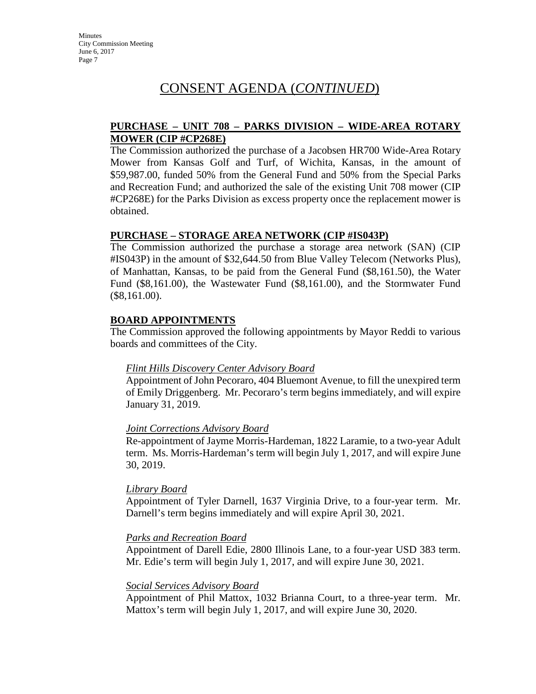#### **PURCHASE – UNIT 708 – PARKS DIVISION – WIDE-AREA ROTARY MOWER (CIP #CP268E)**

The Commission authorized the purchase of a Jacobsen HR700 Wide-Area Rotary Mower from Kansas Golf and Turf, of Wichita, Kansas, in the amount of \$59,987.00, funded 50% from the General Fund and 50% from the Special Parks and Recreation Fund; and authorized the sale of the existing Unit 708 mower (CIP #CP268E) for the Parks Division as excess property once the replacement mower is obtained.

#### **PURCHASE – STORAGE AREA NETWORK (CIP #IS043P)**

The Commission authorized the purchase a storage area network (SAN) (CIP #IS043P) in the amount of \$32,644.50 from Blue Valley Telecom (Networks Plus), of Manhattan, Kansas, to be paid from the General Fund (\$8,161.50), the Water Fund (\$8,161.00), the Wastewater Fund (\$8,161.00), and the Stormwater Fund (\$8,161.00).

#### **BOARD APPOINTMENTS**

The Commission approved the following appointments by Mayor Reddi to various boards and committees of the City.

#### *Flint Hills Discovery Center Advisory Board*

Appointment of John Pecoraro, 404 Bluemont Avenue, to fill the unexpired term of Emily Driggenberg. Mr. Pecoraro's term begins immediately, and will expire January 31, 2019.

#### *Joint Corrections Advisory Board*

Re-appointment of Jayme Morris-Hardeman, 1822 Laramie, to a two-year Adult term. Ms. Morris-Hardeman's term will begin July 1, 2017, and will expire June 30, 2019.

#### *Library Board*

Appointment of Tyler Darnell, 1637 Virginia Drive, to a four-year term. Mr. Darnell's term begins immediately and will expire April 30, 2021.

#### *Parks and Recreation Board*

Appointment of Darell Edie, 2800 Illinois Lane, to a four-year USD 383 term. Mr. Edie's term will begin July 1, 2017, and will expire June 30, 2021.

#### *Social Services Advisory Board*

Appointment of Phil Mattox, 1032 Brianna Court, to a three-year term. Mr. Mattox's term will begin July 1, 2017, and will expire June 30, 2020.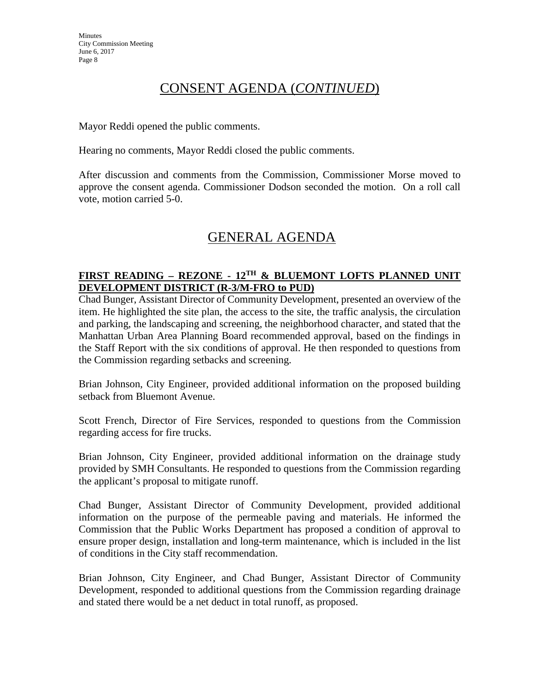Mayor Reddi opened the public comments.

Hearing no comments, Mayor Reddi closed the public comments.

After discussion and comments from the Commission, Commissioner Morse moved to approve the consent agenda. Commissioner Dodson seconded the motion. On a roll call vote, motion carried 5-0.

# GENERAL AGENDA

### **FIRST READING – REZONE - 12TH & BLUEMONT LOFTS PLANNED UNIT DEVELOPMENT DISTRICT (R-3/M-FRO to PUD)**

Chad Bunger, Assistant Director of Community Development, presented an overview of the item. He highlighted the site plan, the access to the site, the traffic analysis, the circulation and parking, the landscaping and screening, the neighborhood character, and stated that the Manhattan Urban Area Planning Board recommended approval, based on the findings in the Staff Report with the six conditions of approval. He then responded to questions from the Commission regarding setbacks and screening.

Brian Johnson, City Engineer, provided additional information on the proposed building setback from Bluemont Avenue.

Scott French, Director of Fire Services, responded to questions from the Commission regarding access for fire trucks.

Brian Johnson, City Engineer, provided additional information on the drainage study provided by SMH Consultants. He responded to questions from the Commission regarding the applicant's proposal to mitigate runoff.

Chad Bunger, Assistant Director of Community Development, provided additional information on the purpose of the permeable paving and materials. He informed the Commission that the Public Works Department has proposed a condition of approval to ensure proper design, installation and long-term maintenance, which is included in the list of conditions in the City staff recommendation.

Brian Johnson, City Engineer, and Chad Bunger, Assistant Director of Community Development, responded to additional questions from the Commission regarding drainage and stated there would be a net deduct in total runoff, as proposed.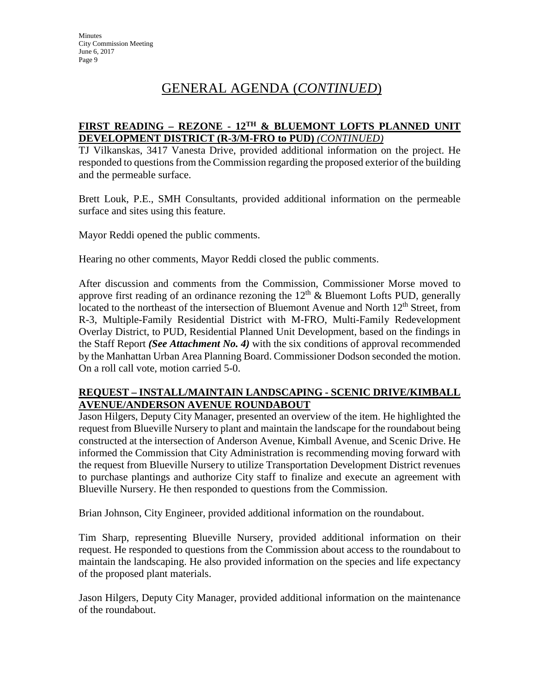# GENERAL AGENDA (*CONTINUED*)

#### **FIRST READING – REZONE - 12TH & BLUEMONT LOFTS PLANNED UNIT DEVELOPMENT DISTRICT (R-3/M-FRO to PUD)** *(CONTINUED)*

TJ Vilkanskas, 3417 Vanesta Drive, provided additional information on the project. He responded to questions from the Commission regarding the proposed exterior of the building and the permeable surface.

Brett Louk, P.E., SMH Consultants, provided additional information on the permeable surface and sites using this feature.

Mayor Reddi opened the public comments.

Hearing no other comments, Mayor Reddi closed the public comments.

After discussion and comments from the Commission, Commissioner Morse moved to approve first reading of an ordinance rezoning the  $12<sup>th</sup>$  & Bluemont Lofts PUD, generally located to the northeast of the intersection of Bluemont Avenue and North 12<sup>th</sup> Street, from R-3, Multiple-Family Residential District with M-FRO, Multi-Family Redevelopment Overlay District, to PUD, Residential Planned Unit Development, based on the findings in the Staff Report *(See Attachment No. 4)* with the six conditions of approval recommended by the Manhattan Urban Area Planning Board. Commissioner Dodson seconded the motion. On a roll call vote, motion carried 5-0.

#### **REQUEST – INSTALL/MAINTAIN LANDSCAPING - SCENIC DRIVE/KIMBALL AVENUE/ANDERSON AVENUE ROUNDABOUT**

Jason Hilgers, Deputy City Manager, presented an overview of the item. He highlighted the request from Blueville Nursery to plant and maintain the landscape for the roundabout being constructed at the intersection of Anderson Avenue, Kimball Avenue, and Scenic Drive. He informed the Commission that City Administration is recommending moving forward with the request from Blueville Nursery to utilize Transportation Development District revenues to purchase plantings and authorize City staff to finalize and execute an agreement with Blueville Nursery. He then responded to questions from the Commission.

Brian Johnson, City Engineer, provided additional information on the roundabout.

Tim Sharp, representing Blueville Nursery, provided additional information on their request. He responded to questions from the Commission about access to the roundabout to maintain the landscaping. He also provided information on the species and life expectancy of the proposed plant materials.

Jason Hilgers, Deputy City Manager, provided additional information on the maintenance of the roundabout.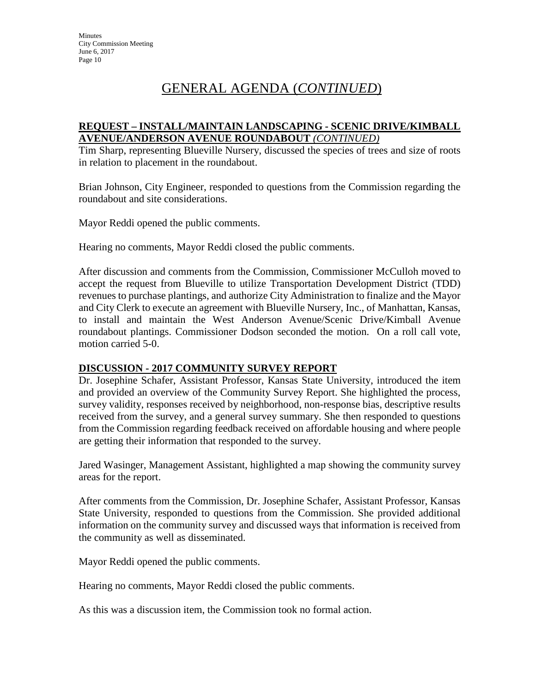# GENERAL AGENDA (*CONTINUED*)

#### **REQUEST – INSTALL/MAINTAIN LANDSCAPING - SCENIC DRIVE/KIMBALL AVENUE/ANDERSON AVENUE ROUNDABOUT** *(CONTINUED)*

Tim Sharp, representing Blueville Nursery, discussed the species of trees and size of roots in relation to placement in the roundabout.

Brian Johnson, City Engineer, responded to questions from the Commission regarding the roundabout and site considerations.

Mayor Reddi opened the public comments.

Hearing no comments, Mayor Reddi closed the public comments.

After discussion and comments from the Commission, Commissioner McCulloh moved to accept the request from Blueville to utilize Transportation Development District (TDD) revenues to purchase plantings, and authorize City Administration to finalize and the Mayor and City Clerk to execute an agreement with Blueville Nursery, Inc., of Manhattan, Kansas, to install and maintain the West Anderson Avenue/Scenic Drive/Kimball Avenue roundabout plantings. Commissioner Dodson seconded the motion. On a roll call vote, motion carried 5-0.

#### **DISCUSSION - 2017 COMMUNITY SURVEY REPORT**

Dr. Josephine Schafer, Assistant Professor, Kansas State University, introduced the item and provided an overview of the Community Survey Report. She highlighted the process, survey validity, responses received by neighborhood, non-response bias, descriptive results received from the survey, and a general survey summary. She then responded to questions from the Commission regarding feedback received on affordable housing and where people are getting their information that responded to the survey.

Jared Wasinger, Management Assistant, highlighted a map showing the community survey areas for the report.

After comments from the Commission, Dr. Josephine Schafer, Assistant Professor, Kansas State University, responded to questions from the Commission. She provided additional information on the community survey and discussed ways that information is received from the community as well as disseminated.

Mayor Reddi opened the public comments.

Hearing no comments, Mayor Reddi closed the public comments.

As this was a discussion item, the Commission took no formal action.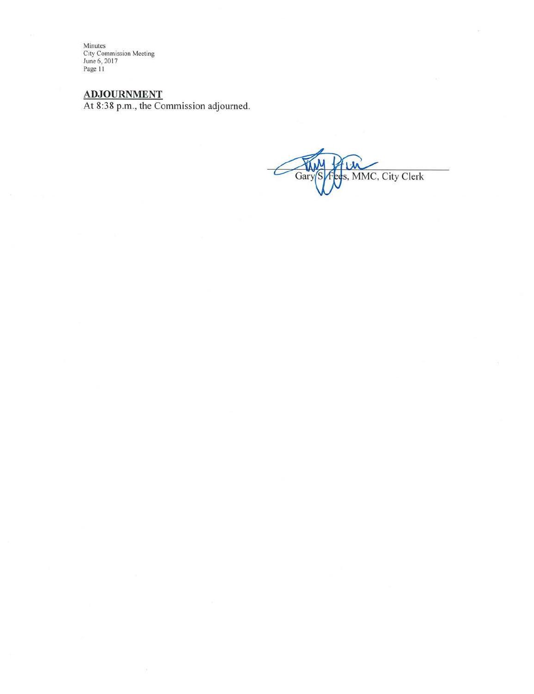Minutes<br>City Commission Meeting<br>June 6, 2017<br>Page 11

 $ADJOURNMENT$ <br>At 8:38 p.m., the Commission adjourned.

s, MMC, City Clerk Ga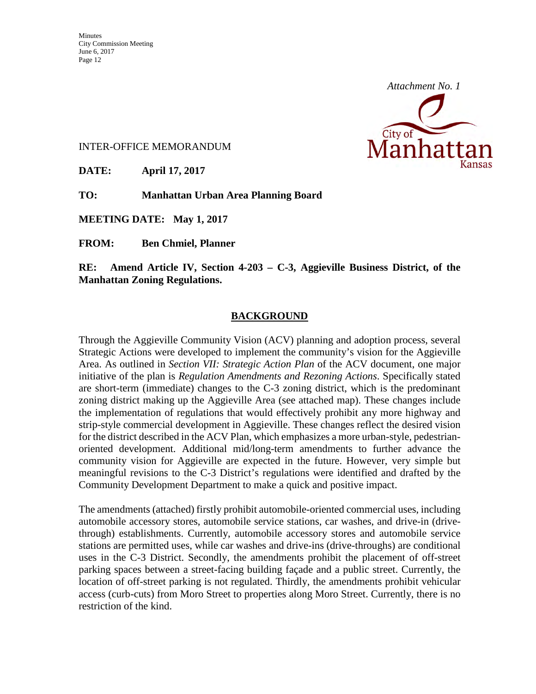

#### INTER-OFFICE MEMORANDUM

**DATE: April 17, 2017** 

**TO: Manhattan Urban Area Planning Board** 

**MEETING DATE: May 1, 2017** 

**FROM: Ben Chmiel, Planner** 

**RE: Amend Article IV, Section 4-203 – C-3, Aggieville Business District, of the Manhattan Zoning Regulations.** 

#### **BACKGROUND**

Through the Aggieville Community Vision (ACV) planning and adoption process, several Strategic Actions were developed to implement the community's vision for the Aggieville Area. As outlined in *Section VII: Strategic Action Plan* of the ACV document, one major initiative of the plan is *Regulation Amendments and Rezoning Actions*. Specifically stated are short-term (immediate) changes to the C-3 zoning district, which is the predominant zoning district making up the Aggieville Area (see attached map). These changes include the implementation of regulations that would effectively prohibit any more highway and strip-style commercial development in Aggieville. These changes reflect the desired vision for the district described in the ACV Plan, which emphasizes a more urban-style, pedestrianoriented development. Additional mid/long-term amendments to further advance the community vision for Aggieville are expected in the future. However, very simple but meaningful revisions to the C-3 District's regulations were identified and drafted by the Community Development Department to make a quick and positive impact.

The amendments (attached) firstly prohibit automobile-oriented commercial uses, including automobile accessory stores, automobile service stations, car washes, and drive-in (drivethrough) establishments. Currently, automobile accessory stores and automobile service stations are permitted uses, while car washes and drive-ins (drive-throughs) are conditional uses in the C-3 District. Secondly, the amendments prohibit the placement of off-street parking spaces between a street-facing building façade and a public street. Currently, the location of off-street parking is not regulated. Thirdly, the amendments prohibit vehicular access (curb-cuts) from Moro Street to properties along Moro Street. Currently, there is no restriction of the kind.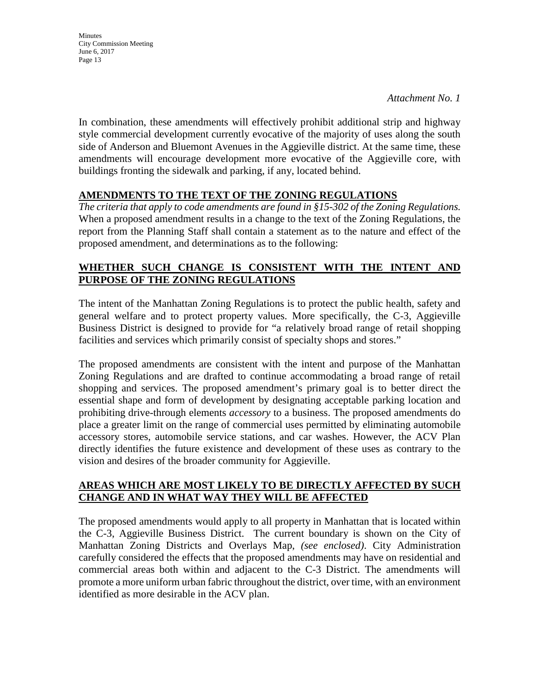*Attachment No. 1*

In combination, these amendments will effectively prohibit additional strip and highway style commercial development currently evocative of the majority of uses along the south side of Anderson and Bluemont Avenues in the Aggieville district. At the same time, these amendments will encourage development more evocative of the Aggieville core, with buildings fronting the sidewalk and parking, if any, located behind.

#### **AMENDMENTS TO THE TEXT OF THE ZONING REGULATIONS**

*The criteria that apply to code amendments are found in §15-302 of the Zoning Regulations.*  When a proposed amendment results in a change to the text of the Zoning Regulations, the report from the Planning Staff shall contain a statement as to the nature and effect of the proposed amendment, and determinations as to the following:

### **WHETHER SUCH CHANGE IS CONSISTENT WITH THE INTENT AND PURPOSE OF THE ZONING REGULATIONS**

The intent of the Manhattan Zoning Regulations is to protect the public health, safety and general welfare and to protect property values. More specifically, the C-3, Aggieville Business District is designed to provide for "a relatively broad range of retail shopping facilities and services which primarily consist of specialty shops and stores."

The proposed amendments are consistent with the intent and purpose of the Manhattan Zoning Regulations and are drafted to continue accommodating a broad range of retail shopping and services. The proposed amendment's primary goal is to better direct the essential shape and form of development by designating acceptable parking location and prohibiting drive-through elements *accessory* to a business. The proposed amendments do place a greater limit on the range of commercial uses permitted by eliminating automobile accessory stores, automobile service stations, and car washes. However, the ACV Plan directly identifies the future existence and development of these uses as contrary to the vision and desires of the broader community for Aggieville.

#### **AREAS WHICH ARE MOST LIKELY TO BE DIRECTLY AFFECTED BY SUCH CHANGE AND IN WHAT WAY THEY WILL BE AFFECTED**

The proposed amendments would apply to all property in Manhattan that is located within the C-3, Aggieville Business District. The current boundary is shown on the City of Manhattan Zoning Districts and Overlays Map, *(see enclosed)*. City Administration carefully considered the effects that the proposed amendments may have on residential and commercial areas both within and adjacent to the C-3 District. The amendments will promote a more uniform urban fabric throughout the district, over time, with an environment identified as more desirable in the ACV plan.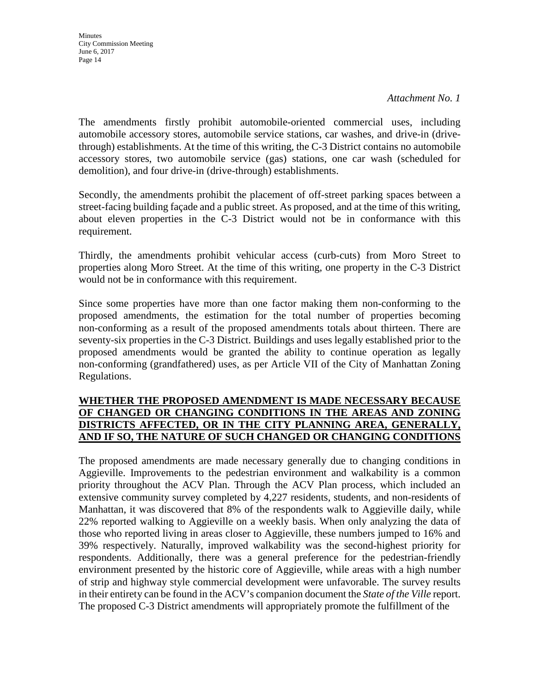*Attachment No. 1*

The amendments firstly prohibit automobile-oriented commercial uses, including automobile accessory stores, automobile service stations, car washes, and drive-in (drivethrough) establishments. At the time of this writing, the C-3 District contains no automobile accessory stores, two automobile service (gas) stations, one car wash (scheduled for demolition), and four drive-in (drive-through) establishments.

Secondly, the amendments prohibit the placement of off-street parking spaces between a street-facing building façade and a public street. As proposed, and at the time of this writing, about eleven properties in the C-3 District would not be in conformance with this requirement.

Thirdly, the amendments prohibit vehicular access (curb-cuts) from Moro Street to properties along Moro Street. At the time of this writing, one property in the C-3 District would not be in conformance with this requirement.

Since some properties have more than one factor making them non-conforming to the proposed amendments, the estimation for the total number of properties becoming non-conforming as a result of the proposed amendments totals about thirteen. There are seventy-six properties in the C-3 District. Buildings and uses legally established prior to the proposed amendments would be granted the ability to continue operation as legally non-conforming (grandfathered) uses, as per Article VII of the City of Manhattan Zoning Regulations.

### **WHETHER THE PROPOSED AMENDMENT IS MADE NECESSARY BECAUSE OF CHANGED OR CHANGING CONDITIONS IN THE AREAS AND ZONING DISTRICTS AFFECTED, OR IN THE CITY PLANNING AREA, GENERALLY, AND IF SO, THE NATURE OF SUCH CHANGED OR CHANGING CONDITIONS**

The proposed amendments are made necessary generally due to changing conditions in Aggieville. Improvements to the pedestrian environment and walkability is a common priority throughout the ACV Plan. Through the ACV Plan process, which included an extensive community survey completed by 4,227 residents, students, and non-residents of Manhattan, it was discovered that 8% of the respondents walk to Aggieville daily, while 22% reported walking to Aggieville on a weekly basis. When only analyzing the data of those who reported living in areas closer to Aggieville, these numbers jumped to 16% and 39% respectively. Naturally, improved walkability was the second-highest priority for respondents. Additionally, there was a general preference for the pedestrian-friendly environment presented by the historic core of Aggieville, while areas with a high number of strip and highway style commercial development were unfavorable. The survey results in their entirety can be found in the ACV's companion document the *State of the Ville* report. The proposed C-3 District amendments will appropriately promote the fulfillment of the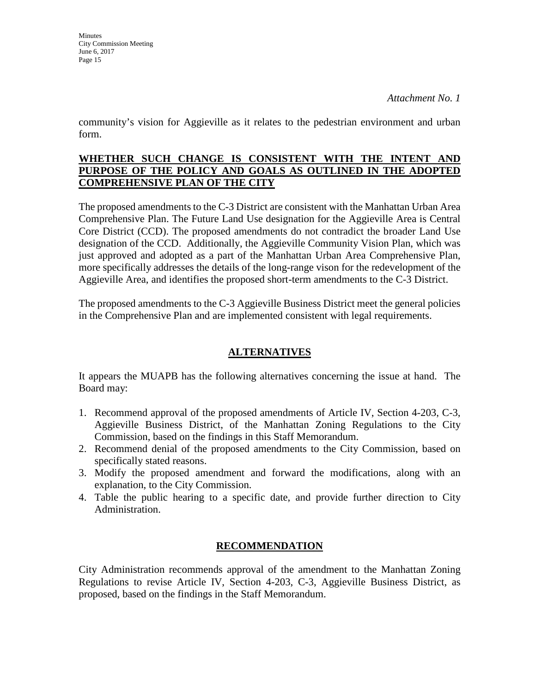**Minutes** 

*Attachment No. 1*

community's vision for Aggieville as it relates to the pedestrian environment and urban form.

#### **WHETHER SUCH CHANGE IS CONSISTENT WITH THE INTENT AND PURPOSE OF THE POLICY AND GOALS AS OUTLINED IN THE ADOPTED COMPREHENSIVE PLAN OF THE CITY**

The proposed amendments to the C-3 District are consistent with the Manhattan Urban Area Comprehensive Plan. The Future Land Use designation for the Aggieville Area is Central Core District (CCD). The proposed amendments do not contradict the broader Land Use designation of the CCD. Additionally, the Aggieville Community Vision Plan, which was just approved and adopted as a part of the Manhattan Urban Area Comprehensive Plan, more specifically addresses the details of the long-range vison for the redevelopment of the Aggieville Area, and identifies the proposed short-term amendments to the C-3 District.

The proposed amendments to the C-3 Aggieville Business District meet the general policies in the Comprehensive Plan and are implemented consistent with legal requirements.

## **ALTERNATIVES**

It appears the MUAPB has the following alternatives concerning the issue at hand. The Board may:

- 1. Recommend approval of the proposed amendments of Article IV, Section 4-203, C-3, Aggieville Business District, of the Manhattan Zoning Regulations to the City Commission, based on the findings in this Staff Memorandum.
- 2. Recommend denial of the proposed amendments to the City Commission, based on specifically stated reasons.
- 3. Modify the proposed amendment and forward the modifications, along with an explanation, to the City Commission.
- 4. Table the public hearing to a specific date, and provide further direction to City Administration.

#### **RECOMMENDATION**

City Administration recommends approval of the amendment to the Manhattan Zoning Regulations to revise Article IV, Section 4-203, C-3, Aggieville Business District, as proposed, based on the findings in the Staff Memorandum.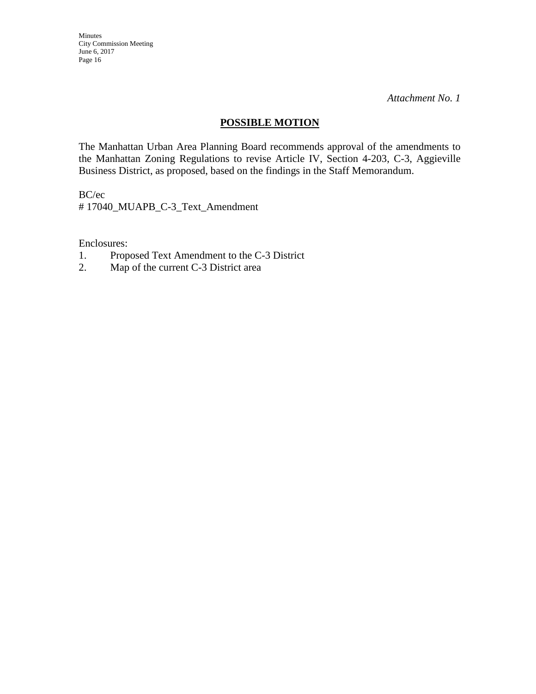*Attachment No. 1*

#### **POSSIBLE MOTION**

The Manhattan Urban Area Planning Board recommends approval of the amendments to the Manhattan Zoning Regulations to revise Article IV, Section 4-203, C-3, Aggieville Business District, as proposed, based on the findings in the Staff Memorandum.

BC/ec

# 17040\_MUAPB\_C-3\_Text\_Amendment

Enclosures:

- 1. Proposed Text Amendment to the C-3 District
- 2. Map of the current C-3 District area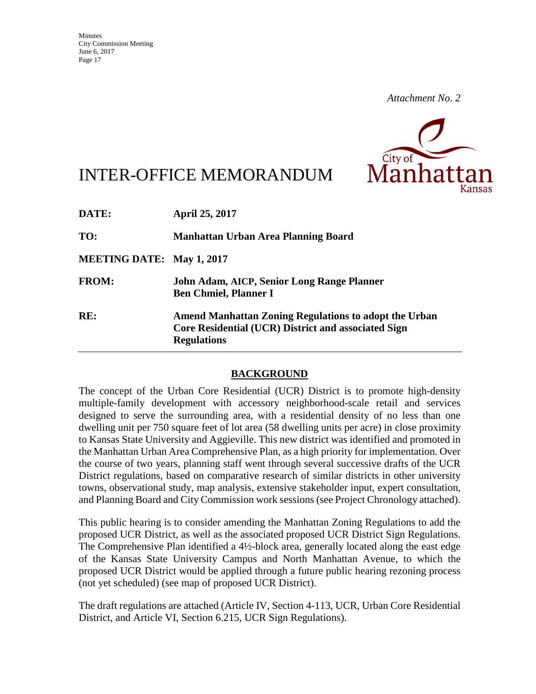

# INTER-OFFICE MEMORANDUM

| DATE:                            | <b>April 25, 2017</b>                                                                                                                     |
|----------------------------------|-------------------------------------------------------------------------------------------------------------------------------------------|
| TO:                              | Manhattan Urban Area Planning Board                                                                                                       |
| <b>MEETING DATE: May 1, 2017</b> |                                                                                                                                           |
| <b>FROM:</b>                     | John Adam, AICP, Senior Long Range Planner<br><b>Ben Chmiel, Planner I</b>                                                                |
| RE:                              | <b>Amend Manhattan Zoning Regulations to adopt the Urban</b><br>Core Residential (UCR) District and associated Sign<br><b>Regulations</b> |

#### **BACKGROUND**

The concept of the Urban Core Residential (UCR) District is to promote high-density multiple-family development with accessory neighborhood-scale retail and services designed to serve the surrounding area, with a residential density of no less than one dwelling unit per 750 square feet of lot area (58 dwelling units per acre) in close proximity to Kansas State University and Aggieville. This new district was identified and promoted in the Manhattan Urban Area Comprehensive Plan, as a high priority for implementation. Over the course of two years, planning staff went through several successive drafts of the UCR District regulations, based on comparative research of similar districts in other university towns, observational study, map analysis, extensive stakeholder input, expert consultation, and Planning Board and City Commission work sessions (see Project Chronology attached).

This public hearing is to consider amending the Manhattan Zoning Regulations to add the proposed UCR District, as well as the associated proposed UCR District Sign Regulations. The Comprehensive Plan identified a 4½-block area, generally located along the east edge of the Kansas State University Campus and North Manhattan Avenue, to which the proposed UCR District would be applied through a future public hearing rezoning process (not yet scheduled) (see map of proposed UCR District).

The draft regulations are attached (Article IV, Section 4-113, UCR, Urban Core Residential District, and Article VI, Section 6.215, UCR Sign Regulations).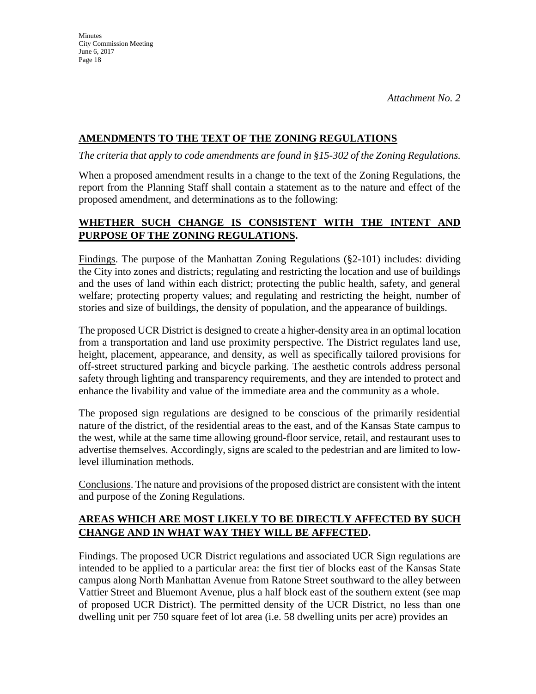## **AMENDMENTS TO THE TEXT OF THE ZONING REGULATIONS**

*The criteria that apply to code amendments are found in §15-302 of the Zoning Regulations.* 

When a proposed amendment results in a change to the text of the Zoning Regulations, the report from the Planning Staff shall contain a statement as to the nature and effect of the proposed amendment, and determinations as to the following:

## **WHETHER SUCH CHANGE IS CONSISTENT WITH THE INTENT AND PURPOSE OF THE ZONING REGULATIONS.**

Findings. The purpose of the Manhattan Zoning Regulations (§2-101) includes: dividing the City into zones and districts; regulating and restricting the location and use of buildings and the uses of land within each district; protecting the public health, safety, and general welfare; protecting property values; and regulating and restricting the height, number of stories and size of buildings, the density of population, and the appearance of buildings.

The proposed UCR District is designed to create a higher-density area in an optimal location from a transportation and land use proximity perspective. The District regulates land use, height, placement, appearance, and density, as well as specifically tailored provisions for off-street structured parking and bicycle parking. The aesthetic controls address personal safety through lighting and transparency requirements, and they are intended to protect and enhance the livability and value of the immediate area and the community as a whole.

The proposed sign regulations are designed to be conscious of the primarily residential nature of the district, of the residential areas to the east, and of the Kansas State campus to the west, while at the same time allowing ground-floor service, retail, and restaurant uses to advertise themselves. Accordingly, signs are scaled to the pedestrian and are limited to lowlevel illumination methods.

Conclusions. The nature and provisions of the proposed district are consistent with the intent and purpose of the Zoning Regulations.

# **AREAS WHICH ARE MOST LIKELY TO BE DIRECTLY AFFECTED BY SUCH CHANGE AND IN WHAT WAY THEY WILL BE AFFECTED.**

Findings. The proposed UCR District regulations and associated UCR Sign regulations are intended to be applied to a particular area: the first tier of blocks east of the Kansas State campus along North Manhattan Avenue from Ratone Street southward to the alley between Vattier Street and Bluemont Avenue, plus a half block east of the southern extent (see map of proposed UCR District). The permitted density of the UCR District, no less than one dwelling unit per 750 square feet of lot area (i.e. 58 dwelling units per acre) provides an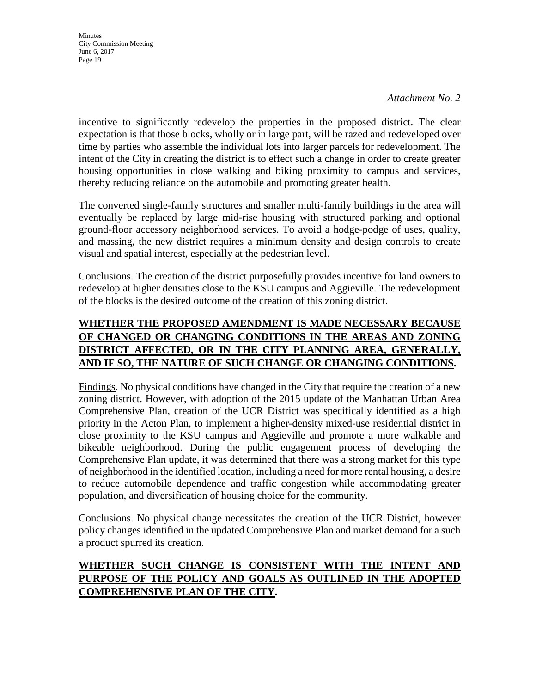*Attachment No. 2*

incentive to significantly redevelop the properties in the proposed district. The clear expectation is that those blocks, wholly or in large part, will be razed and redeveloped over time by parties who assemble the individual lots into larger parcels for redevelopment. The intent of the City in creating the district is to effect such a change in order to create greater housing opportunities in close walking and biking proximity to campus and services, thereby reducing reliance on the automobile and promoting greater health.

The converted single-family structures and smaller multi-family buildings in the area will eventually be replaced by large mid-rise housing with structured parking and optional ground-floor accessory neighborhood services. To avoid a hodge-podge of uses, quality, and massing, the new district requires a minimum density and design controls to create visual and spatial interest, especially at the pedestrian level.

Conclusions. The creation of the district purposefully provides incentive for land owners to redevelop at higher densities close to the KSU campus and Aggieville. The redevelopment of the blocks is the desired outcome of the creation of this zoning district.

# **WHETHER THE PROPOSED AMENDMENT IS MADE NECESSARY BECAUSE OF CHANGED OR CHANGING CONDITIONS IN THE AREAS AND ZONING DISTRICT AFFECTED, OR IN THE CITY PLANNING AREA, GENERALLY, AND IF SO, THE NATURE OF SUCH CHANGE OR CHANGING CONDITIONS.**

Findings. No physical conditions have changed in the City that require the creation of a new zoning district. However, with adoption of the 2015 update of the Manhattan Urban Area Comprehensive Plan, creation of the UCR District was specifically identified as a high priority in the Acton Plan, to implement a higher-density mixed-use residential district in close proximity to the KSU campus and Aggieville and promote a more walkable and bikeable neighborhood. During the public engagement process of developing the Comprehensive Plan update, it was determined that there was a strong market for this type of neighborhood in the identified location, including a need for more rental housing, a desire to reduce automobile dependence and traffic congestion while accommodating greater population, and diversification of housing choice for the community.

Conclusions. No physical change necessitates the creation of the UCR District, however policy changes identified in the updated Comprehensive Plan and market demand for a such a product spurred its creation.

# **WHETHER SUCH CHANGE IS CONSISTENT WITH THE INTENT AND PURPOSE OF THE POLICY AND GOALS AS OUTLINED IN THE ADOPTED COMPREHENSIVE PLAN OF THE CITY.**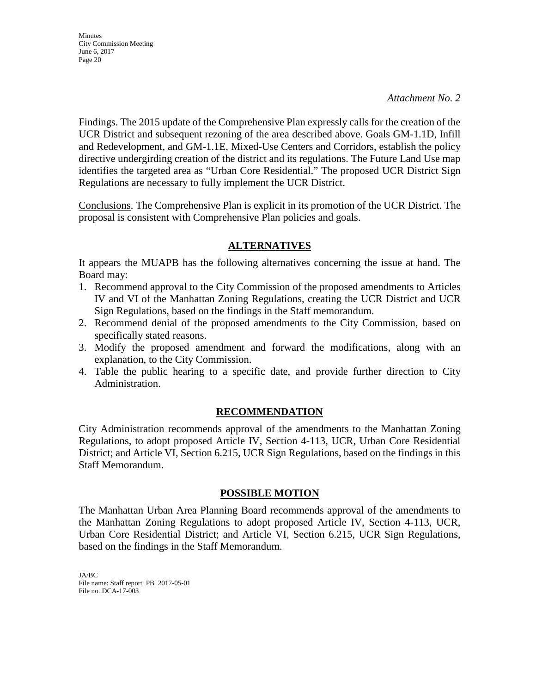*Attachment No. 2*

Findings. The 2015 update of the Comprehensive Plan expressly calls for the creation of the UCR District and subsequent rezoning of the area described above. Goals GM-1.1D, Infill and Redevelopment, and GM-1.1E, Mixed-Use Centers and Corridors, establish the policy directive undergirding creation of the district and its regulations. The Future Land Use map identifies the targeted area as "Urban Core Residential." The proposed UCR District Sign Regulations are necessary to fully implement the UCR District.

Conclusions. The Comprehensive Plan is explicit in its promotion of the UCR District. The proposal is consistent with Comprehensive Plan policies and goals.

## **ALTERNATIVES**

It appears the MUAPB has the following alternatives concerning the issue at hand. The Board may:

- 1. Recommend approval to the City Commission of the proposed amendments to Articles IV and VI of the Manhattan Zoning Regulations, creating the UCR District and UCR Sign Regulations, based on the findings in the Staff memorandum.
- 2. Recommend denial of the proposed amendments to the City Commission, based on specifically stated reasons.
- 3. Modify the proposed amendment and forward the modifications, along with an explanation, to the City Commission.
- 4. Table the public hearing to a specific date, and provide further direction to City Administration.

#### **RECOMMENDATION**

City Administration recommends approval of the amendments to the Manhattan Zoning Regulations, to adopt proposed Article IV, Section 4-113, UCR, Urban Core Residential District; and Article VI, Section 6.215, UCR Sign Regulations, based on the findings in this Staff Memorandum.

#### **POSSIBLE MOTION**

The Manhattan Urban Area Planning Board recommends approval of the amendments to the Manhattan Zoning Regulations to adopt proposed Article IV, Section 4-113, UCR, Urban Core Residential District; and Article VI, Section 6.215, UCR Sign Regulations, based on the findings in the Staff Memorandum.

JA/BC File name: Staff report\_PB\_2017-05-01 File no. DCA-17-003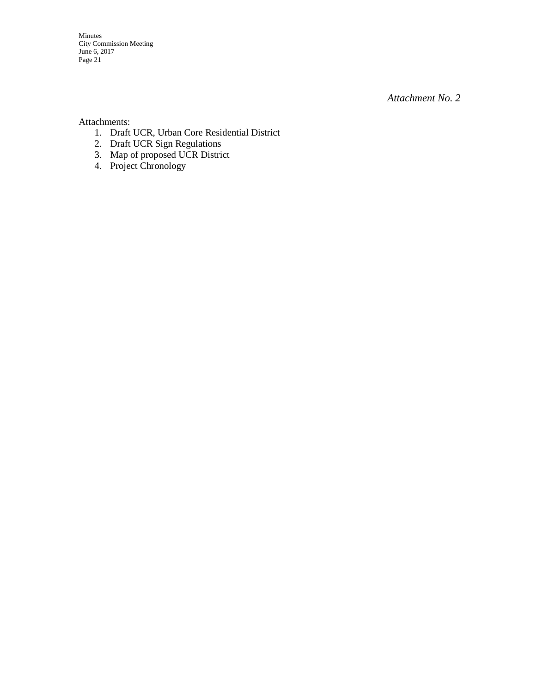*Attachment No. 2*

Attachments:

- 1. Draft UCR, Urban Core Residential District
- 2. Draft UCR Sign Regulations
- 3. Map of proposed UCR District
- 4. Project Chronology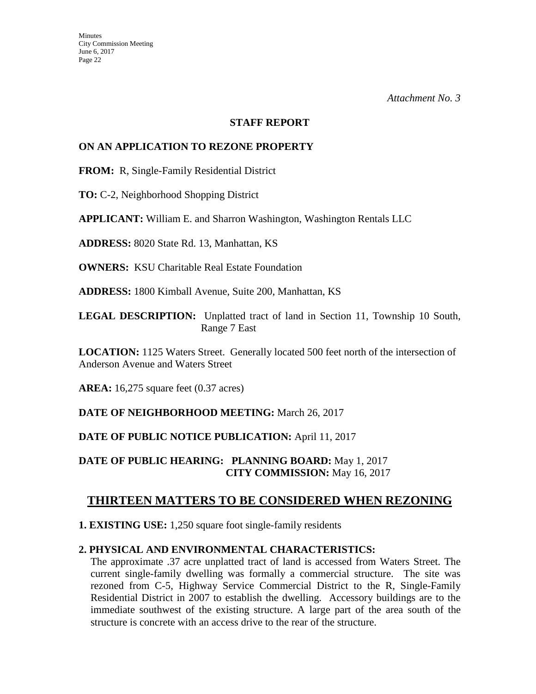#### **STAFF REPORT**

#### **ON AN APPLICATION TO REZONE PROPERTY**

**FROM:** R, Single-Family Residential District

**TO:** C-2, Neighborhood Shopping District

**APPLICANT:** William E. and Sharron Washington, Washington Rentals LLC

**ADDRESS:** 8020 State Rd. 13, Manhattan, KS

**OWNERS:** KSU Charitable Real Estate Foundation

**ADDRESS:** 1800 Kimball Avenue, Suite 200, Manhattan, KS

**LEGAL DESCRIPTION:** Unplatted tract of land in Section 11, Township 10 South, Range 7 East

**LOCATION:** 1125 Waters Street. Generally located 500 feet north of the intersection of Anderson Avenue and Waters Street

**AREA:** 16,275 square feet (0.37 acres)

**DATE OF NEIGHBORHOOD MEETING:** March 26, 2017

**DATE OF PUBLIC NOTICE PUBLICATION:** April 11, 2017

**DATE OF PUBLIC HEARING: PLANNING BOARD:** May 1, 2017 **CITY COMMISSION:** May 16, 2017

# **THIRTEEN MATTERS TO BE CONSIDERED WHEN REZONING**

**1. EXISTING USE:** 1,250 square foot single-family residents

#### **2. PHYSICAL AND ENVIRONMENTAL CHARACTERISTICS:**

The approximate .37 acre unplatted tract of land is accessed from Waters Street. The current single-family dwelling was formally a commercial structure. The site was rezoned from C-5, Highway Service Commercial District to the R, Single-Family Residential District in 2007 to establish the dwelling. Accessory buildings are to the immediate southwest of the existing structure. A large part of the area south of the structure is concrete with an access drive to the rear of the structure.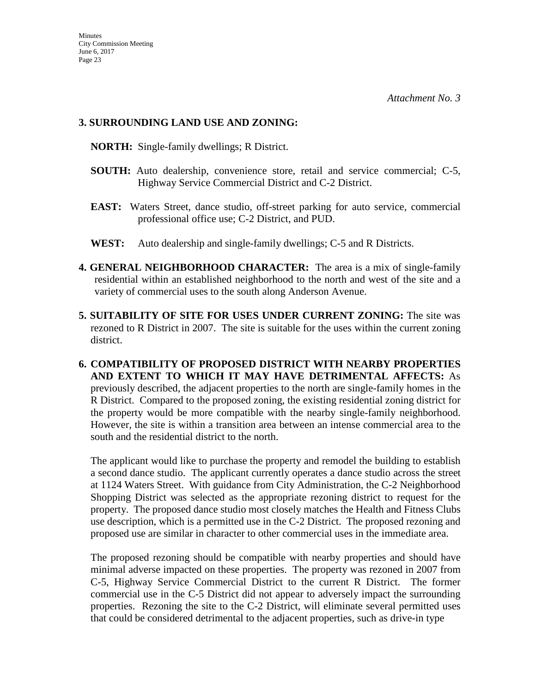#### **3. SURROUNDING LAND USE AND ZONING:**

 **NORTH:** Single-family dwellings; R District.

- **SOUTH:** Auto dealership, convenience store, retail and service commercial; C-5, Highway Service Commercial District and C-2 District.
- **EAST:** Waters Street, dance studio, off-street parking for auto service, commercial professional office use; C-2 District, and PUD.
- **WEST:** Auto dealership and single-family dwellings; C-5 and R Districts.
- **4. GENERAL NEIGHBORHOOD CHARACTER:** The area is a mix of single-family residential within an established neighborhood to the north and west of the site and a variety of commercial uses to the south along Anderson Avenue.
- **5. SUITABILITY OF SITE FOR USES UNDER CURRENT ZONING:** The site was rezoned to R District in 2007. The site is suitable for the uses within the current zoning district.
- **6. COMPATIBILITY OF PROPOSED DISTRICT WITH NEARBY PROPERTIES AND EXTENT TO WHICH IT MAY HAVE DETRIMENTAL AFFECTS:** As previously described, the adjacent properties to the north are single-family homes in the R District. Compared to the proposed zoning, the existing residential zoning district for the property would be more compatible with the nearby single-family neighborhood. However, the site is within a transition area between an intense commercial area to the south and the residential district to the north.

The applicant would like to purchase the property and remodel the building to establish a second dance studio. The applicant currently operates a dance studio across the street at 1124 Waters Street. With guidance from City Administration, the C-2 Neighborhood Shopping District was selected as the appropriate rezoning district to request for the property. The proposed dance studio most closely matches the Health and Fitness Clubs use description, which is a permitted use in the C-2 District. The proposed rezoning and proposed use are similar in character to other commercial uses in the immediate area.

The proposed rezoning should be compatible with nearby properties and should have minimal adverse impacted on these properties. The property was rezoned in 2007 from C-5, Highway Service Commercial District to the current R District. The former commercial use in the C-5 District did not appear to adversely impact the surrounding properties. Rezoning the site to the C-2 District, will eliminate several permitted uses that could be considered detrimental to the adjacent properties, such as drive-in type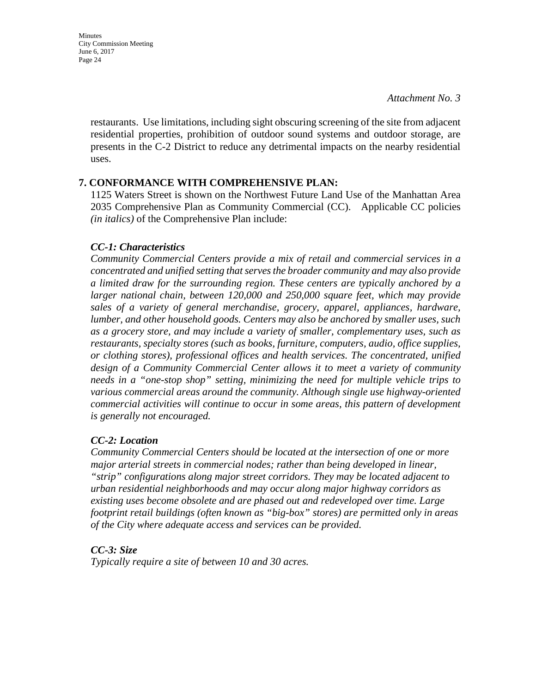**Minutes** City Commission Meeting June 6, 2017 Page 24

> restaurants. Use limitations, including sight obscuring screening of the site from adjacent residential properties, prohibition of outdoor sound systems and outdoor storage, are presents in the C-2 District to reduce any detrimental impacts on the nearby residential uses.

#### **7. CONFORMANCE WITH COMPREHENSIVE PLAN:**

1125 Waters Street is shown on the Northwest Future Land Use of the Manhattan Area 2035 Comprehensive Plan as Community Commercial (CC). Applicable CC policies *(in italics)* of the Comprehensive Plan include:

#### *CC-1: Characteristics*

*Community Commercial Centers provide a mix of retail and commercial services in a concentrated and unified setting that serves the broader community and may also provide a limited draw for the surrounding region. These centers are typically anchored by a larger national chain, between 120,000 and 250,000 square feet, which may provide sales of a variety of general merchandise, grocery, apparel, appliances, hardware, lumber, and other household goods. Centers may also be anchored by smaller uses, such as a grocery store, and may include a variety of smaller, complementary uses, such as restaurants, specialty stores (such as books, furniture, computers, audio, office supplies, or clothing stores), professional offices and health services. The concentrated, unified design of a Community Commercial Center allows it to meet a variety of community needs in a "one-stop shop" setting, minimizing the need for multiple vehicle trips to various commercial areas around the community. Although single use highway-oriented commercial activities will continue to occur in some areas, this pattern of development is generally not encouraged.* 

#### *CC-2: Location*

*Community Commercial Centers should be located at the intersection of one or more major arterial streets in commercial nodes; rather than being developed in linear, "strip" configurations along major street corridors. They may be located adjacent to urban residential neighborhoods and may occur along major highway corridors as existing uses become obsolete and are phased out and redeveloped over time. Large footprint retail buildings (often known as "big-box" stores) are permitted only in areas of the City where adequate access and services can be provided.* 

#### *CC-3: Size*

*Typically require a site of between 10 and 30 acres.*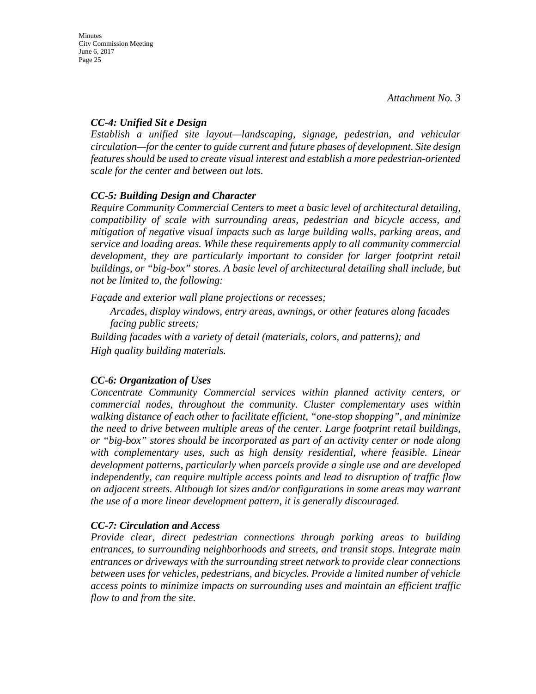### *CC-4: Unified Sit e Design*

*Establish a unified site layout—landscaping, signage, pedestrian, and vehicular circulation—for the center to guide current and future phases of development. Site design features should be used to create visual interest and establish a more pedestrian-oriented scale for the center and between out lots.* 

## *CC-5: Building Design and Character*

*Require Community Commercial Centers to meet a basic level of architectural detailing, compatibility of scale with surrounding areas, pedestrian and bicycle access, and mitigation of negative visual impacts such as large building walls, parking areas, and service and loading areas. While these requirements apply to all community commercial development, they are particularly important to consider for larger footprint retail buildings, or "big-box" stores. A basic level of architectural detailing shall include, but not be limited to, the following:* 

*Façade and exterior wall plane projections or recesses;* 

*Arcades, display windows, entry areas, awnings, or other features along facades facing public streets;* 

*Building facades with a variety of detail (materials, colors, and patterns); and High quality building materials.* 

# *CC-6: Organization of Uses*

*Concentrate Community Commercial services within planned activity centers, or commercial nodes, throughout the community. Cluster complementary uses within walking distance of each other to facilitate efficient, "one-stop shopping", and minimize the need to drive between multiple areas of the center. Large footprint retail buildings, or "big-box" stores should be incorporated as part of an activity center or node along*  with complementary uses, such as high density residential, where feasible. Linear *development patterns, particularly when parcels provide a single use and are developed independently, can require multiple access points and lead to disruption of traffic flow on adjacent streets. Although lot sizes and/or configurations in some areas may warrant the use of a more linear development pattern, it is generally discouraged.* 

# *CC-7: Circulation and Access*

*Provide clear, direct pedestrian connections through parking areas to building entrances, to surrounding neighborhoods and streets, and transit stops. Integrate main entrances or driveways with the surrounding street network to provide clear connections between uses for vehicles, pedestrians, and bicycles. Provide a limited number of vehicle access points to minimize impacts on surrounding uses and maintain an efficient traffic flow to and from the site.*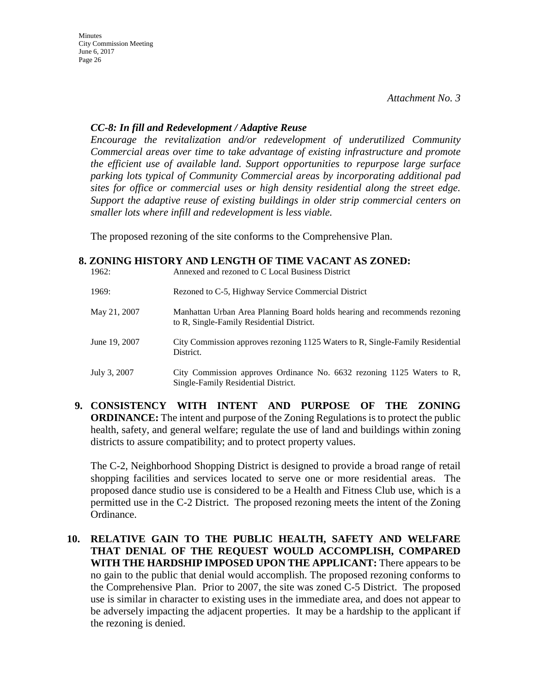#### *CC-8: In fill and Redevelopment / Adaptive Reuse*

*Encourage the revitalization and/or redevelopment of underutilized Community Commercial areas over time to take advantage of existing infrastructure and promote the efficient use of available land. Support opportunities to repurpose large surface parking lots typical of Community Commercial areas by incorporating additional pad sites for office or commercial uses or high density residential along the street edge. Support the adaptive reuse of existing buildings in older strip commercial centers on smaller lots where infill and redevelopment is less viable.*

The proposed rezoning of the site conforms to the Comprehensive Plan.

#### **8. ZONING HISTORY AND LENGTH OF TIME VACANT AS ZONED:**

| 1962:         | Annexed and rezoned to C Local Business District                                                                       |
|---------------|------------------------------------------------------------------------------------------------------------------------|
| 1969:         | Rezoned to C-5, Highway Service Commercial District                                                                    |
| May 21, 2007  | Manhattan Urban Area Planning Board holds hearing and recommends rezoning<br>to R, Single-Family Residential District. |
| June 19, 2007 | City Commission approves rezoning 1125 Waters to R, Single-Family Residential<br>District.                             |
| July 3, 2007  | City Commission approves Ordinance No. 6632 rezoning 1125 Waters to R,<br>Single-Family Residential District.          |

**9. CONSISTENCY WITH INTENT AND PURPOSE OF THE ZONING ORDINANCE:** The intent and purpose of the Zoning Regulations is to protect the public health, safety, and general welfare; regulate the use of land and buildings within zoning districts to assure compatibility; and to protect property values.

The C-2, Neighborhood Shopping District is designed to provide a broad range of retail shopping facilities and services located to serve one or more residential areas. The proposed dance studio use is considered to be a Health and Fitness Club use, which is a permitted use in the C-2 District. The proposed rezoning meets the intent of the Zoning Ordinance.

**10. RELATIVE GAIN TO THE PUBLIC HEALTH, SAFETY AND WELFARE THAT DENIAL OF THE REQUEST WOULD ACCOMPLISH, COMPARED WITH THE HARDSHIP IMPOSED UPON THE APPLICANT:** There appears to be no gain to the public that denial would accomplish. The proposed rezoning conforms to the Comprehensive Plan. Prior to 2007, the site was zoned C-5 District. The proposed use is similar in character to existing uses in the immediate area, and does not appear to be adversely impacting the adjacent properties. It may be a hardship to the applicant if the rezoning is denied.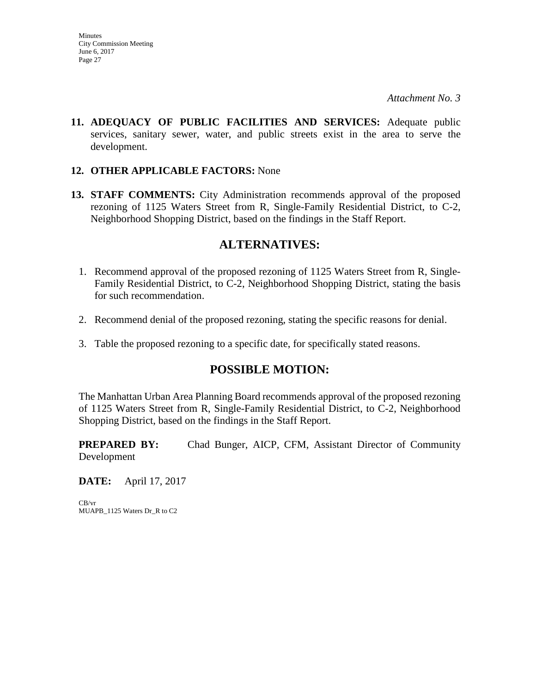**11. ADEQUACY OF PUBLIC FACILITIES AND SERVICES:** Adequate public services, sanitary sewer, water, and public streets exist in the area to serve the development.

#### **12. OTHER APPLICABLE FACTORS:** None

**13. STAFF COMMENTS:** City Administration recommends approval of the proposed rezoning of 1125 Waters Street from R, Single-Family Residential District, to C-2, Neighborhood Shopping District, based on the findings in the Staff Report.

# **ALTERNATIVES:**

- 1. Recommend approval of the proposed rezoning of 1125 Waters Street from R, Single-Family Residential District, to C-2, Neighborhood Shopping District, stating the basis for such recommendation.
- 2. Recommend denial of the proposed rezoning, stating the specific reasons for denial.
- 3. Table the proposed rezoning to a specific date, for specifically stated reasons.

# **POSSIBLE MOTION:**

The Manhattan Urban Area Planning Board recommends approval of the proposed rezoning of 1125 Waters Street from R, Single-Family Residential District, to C-2, Neighborhood Shopping District, based on the findings in the Staff Report.

**PREPARED BY:** Chad Bunger, AICP, CFM, Assistant Director of Community Development

**DATE:** April 17, 2017

CB/vr MUAPB\_1125 Waters Dr\_R to C2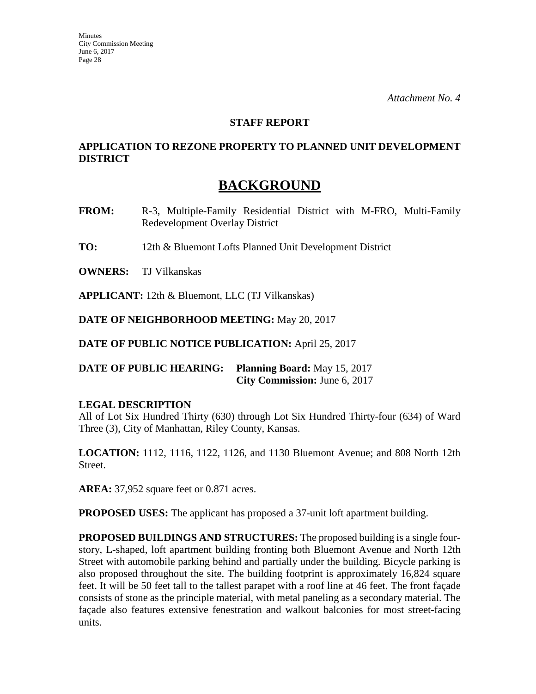#### **STAFF REPORT**

## **APPLICATION TO REZONE PROPERTY TO PLANNED UNIT DEVELOPMENT DISTRICT**

# **BACKGROUND**

- **FROM:** R-3, Multiple-Family Residential District with M-FRO, Multi-Family Redevelopment Overlay District
- **TO:** 12th & Bluemont Lofts Planned Unit Development District

**OWNERS:** TJ Vilkanskas

**APPLICANT:** 12th & Bluemont, LLC (TJ Vilkanskas)

**DATE OF NEIGHBORHOOD MEETING:** May 20, 2017

**DATE OF PUBLIC NOTICE PUBLICATION:** April 25, 2017

**DATE OF PUBLIC HEARING: Planning Board:** May 15, 2017 **City Commission:** June 6, 2017

#### **LEGAL DESCRIPTION**

All of Lot Six Hundred Thirty (630) through Lot Six Hundred Thirty-four (634) of Ward Three (3), City of Manhattan, Riley County, Kansas.

**LOCATION:** 1112, 1116, 1122, 1126, and 1130 Bluemont Avenue; and 808 North 12th Street.

**AREA:** 37,952 square feet or 0.871 acres.

**PROPOSED USES:** The applicant has proposed a 37-unit loft apartment building.

**PROPOSED BUILDINGS AND STRUCTURES:** The proposed building is a single fourstory, L-shaped, loft apartment building fronting both Bluemont Avenue and North 12th Street with automobile parking behind and partially under the building. Bicycle parking is also proposed throughout the site. The building footprint is approximately 16,824 square feet. It will be 50 feet tall to the tallest parapet with a roof line at 46 feet. The front façade consists of stone as the principle material, with metal paneling as a secondary material. The façade also features extensive fenestration and walkout balconies for most street-facing units.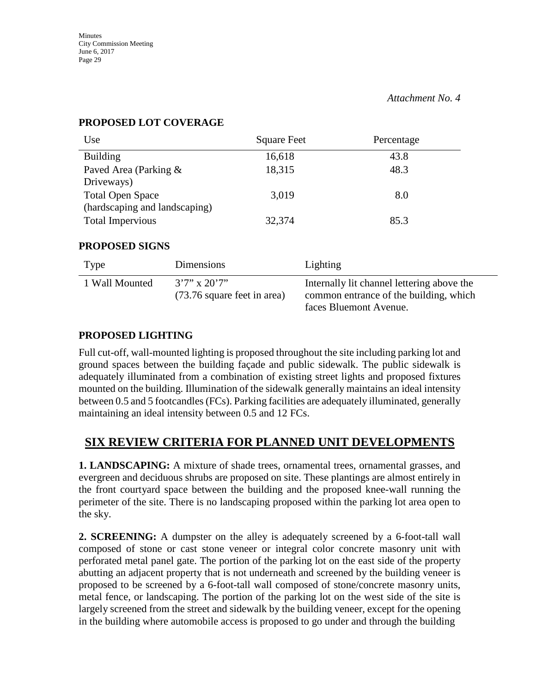| Use                           | <b>Square Feet</b> | Percentage |
|-------------------------------|--------------------|------------|
| <b>Building</b>               | 16,618             | 43.8       |
| Paved Area (Parking &         | 18,315             | 48.3       |
| Driveways)                    |                    |            |
| <b>Total Open Space</b>       | 3,019              | 8.0        |
| (hardscaping and landscaping) |                    |            |
| <b>Total Impervious</b>       | 32,374             | 85.3       |

#### **PROPOSED LOT COVERAGE**

#### **PROPOSED SIGNS**

| Type           | Dimensions                                        | Lighting                                                                                                       |
|----------------|---------------------------------------------------|----------------------------------------------------------------------------------------------------------------|
| 1 Wall Mounted | $3'7''$ x $20'7''$<br>(73.76 square feet in area) | Internally lit channel lettering above the<br>common entrance of the building, which<br>faces Bluemont Avenue. |

## **PROPOSED LIGHTING**

Full cut-off, wall-mounted lighting is proposed throughout the site including parking lot and ground spaces between the building façade and public sidewalk. The public sidewalk is adequately illuminated from a combination of existing street lights and proposed fixtures mounted on the building. Illumination of the sidewalk generally maintains an ideal intensity between 0.5 and 5 footcandles (FCs). Parking facilities are adequately illuminated, generally maintaining an ideal intensity between 0.5 and 12 FCs.

# **SIX REVIEW CRITERIA FOR PLANNED UNIT DEVELOPMENTS**

**1. LANDSCAPING:** A mixture of shade trees, ornamental trees, ornamental grasses, and evergreen and deciduous shrubs are proposed on site. These plantings are almost entirely in the front courtyard space between the building and the proposed knee-wall running the perimeter of the site. There is no landscaping proposed within the parking lot area open to the sky.

**2. SCREENING:** A dumpster on the alley is adequately screened by a 6-foot-tall wall composed of stone or cast stone veneer or integral color concrete masonry unit with perforated metal panel gate. The portion of the parking lot on the east side of the property abutting an adjacent property that is not underneath and screened by the building veneer is proposed to be screened by a 6-foot-tall wall composed of stone/concrete masonry units, metal fence, or landscaping. The portion of the parking lot on the west side of the site is largely screened from the street and sidewalk by the building veneer, except for the opening in the building where automobile access is proposed to go under and through the building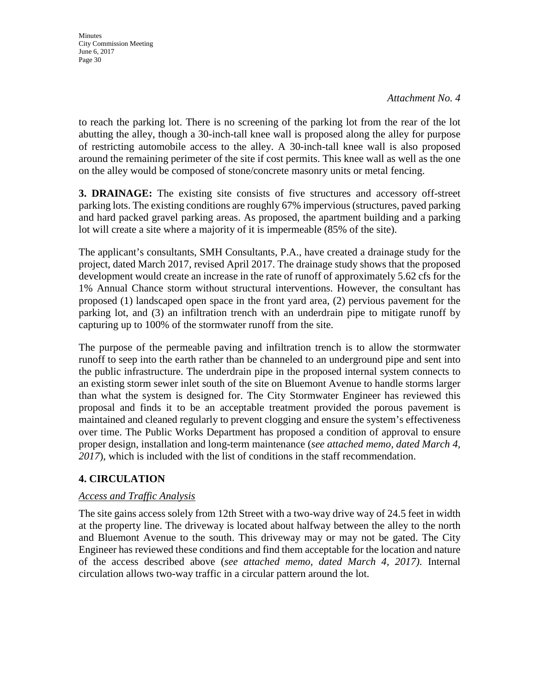*Attachment No. 4*

to reach the parking lot. There is no screening of the parking lot from the rear of the lot abutting the alley, though a 30-inch-tall knee wall is proposed along the alley for purpose of restricting automobile access to the alley. A 30-inch-tall knee wall is also proposed around the remaining perimeter of the site if cost permits. This knee wall as well as the one on the alley would be composed of stone/concrete masonry units or metal fencing.

**3. DRAINAGE:** The existing site consists of five structures and accessory off-street parking lots. The existing conditions are roughly 67% impervious (structures, paved parking and hard packed gravel parking areas. As proposed, the apartment building and a parking lot will create a site where a majority of it is impermeable (85% of the site).

The applicant's consultants, SMH Consultants, P.A., have created a drainage study for the project, dated March 2017, revised April 2017. The drainage study shows that the proposed development would create an increase in the rate of runoff of approximately 5.62 cfs for the 1% Annual Chance storm without structural interventions. However, the consultant has proposed (1) landscaped open space in the front yard area, (2) pervious pavement for the parking lot, and (3) an infiltration trench with an underdrain pipe to mitigate runoff by capturing up to 100% of the stormwater runoff from the site.

The purpose of the permeable paving and infiltration trench is to allow the stormwater runoff to seep into the earth rather than be channeled to an underground pipe and sent into the public infrastructure. The underdrain pipe in the proposed internal system connects to an existing storm sewer inlet south of the site on Bluemont Avenue to handle storms larger than what the system is designed for. The City Stormwater Engineer has reviewed this proposal and finds it to be an acceptable treatment provided the porous pavement is maintained and cleaned regularly to prevent clogging and ensure the system's effectiveness over time. The Public Works Department has proposed a condition of approval to ensure proper design, installation and long-term maintenance (*see attached memo, dated March 4, 2017*), which is included with the list of conditions in the staff recommendation.

# **4. CIRCULATION**

#### *Access and Traffic Analysis*

The site gains access solely from 12th Street with a two-way drive way of 24.5 feet in width at the property line. The driveway is located about halfway between the alley to the north and Bluemont Avenue to the south. This driveway may or may not be gated. The City Engineer has reviewed these conditions and find them acceptable for the location and nature of the access described above (*see attached memo, dated March 4, 2017)*. Internal circulation allows two-way traffic in a circular pattern around the lot.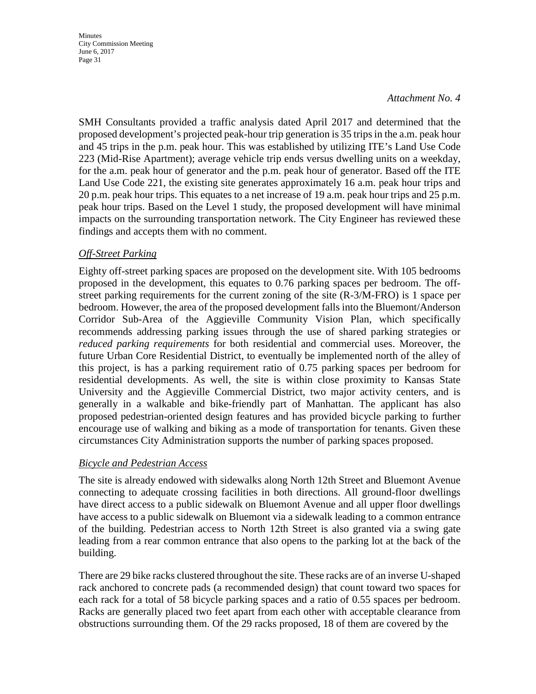#### *Attachment No. 4*

SMH Consultants provided a traffic analysis dated April 2017 and determined that the proposed development's projected peak-hour trip generation is 35 trips in the a.m. peak hour and 45 trips in the p.m. peak hour. This was established by utilizing ITE's Land Use Code 223 (Mid-Rise Apartment); average vehicle trip ends versus dwelling units on a weekday, for the a.m. peak hour of generator and the p.m. peak hour of generator. Based off the ITE Land Use Code 221, the existing site generates approximately 16 a.m. peak hour trips and 20 p.m. peak hour trips. This equates to a net increase of 19 a.m. peak hour trips and 25 p.m. peak hour trips. Based on the Level 1 study, the proposed development will have minimal impacts on the surrounding transportation network. The City Engineer has reviewed these findings and accepts them with no comment.

#### *Off-Street Parking*

Eighty off-street parking spaces are proposed on the development site. With 105 bedrooms proposed in the development, this equates to 0.76 parking spaces per bedroom. The offstreet parking requirements for the current zoning of the site (R-3/M-FRO) is 1 space per bedroom. However, the area of the proposed development falls into the Bluemont/Anderson Corridor Sub-Area of the Aggieville Community Vision Plan, which specifically recommends addressing parking issues through the use of shared parking strategies or *reduced parking requirements* for both residential and commercial uses. Moreover, the future Urban Core Residential District, to eventually be implemented north of the alley of this project, is has a parking requirement ratio of 0.75 parking spaces per bedroom for residential developments. As well, the site is within close proximity to Kansas State University and the Aggieville Commercial District, two major activity centers, and is generally in a walkable and bike-friendly part of Manhattan. The applicant has also proposed pedestrian-oriented design features and has provided bicycle parking to further encourage use of walking and biking as a mode of transportation for tenants. Given these circumstances City Administration supports the number of parking spaces proposed.

#### *Bicycle and Pedestrian Access*

The site is already endowed with sidewalks along North 12th Street and Bluemont Avenue connecting to adequate crossing facilities in both directions. All ground-floor dwellings have direct access to a public sidewalk on Bluemont Avenue and all upper floor dwellings have access to a public sidewalk on Bluemont via a sidewalk leading to a common entrance of the building. Pedestrian access to North 12th Street is also granted via a swing gate leading from a rear common entrance that also opens to the parking lot at the back of the building.

There are 29 bike racks clustered throughout the site. These racks are of an inverse U-shaped rack anchored to concrete pads (a recommended design) that count toward two spaces for each rack for a total of 58 bicycle parking spaces and a ratio of 0.55 spaces per bedroom. Racks are generally placed two feet apart from each other with acceptable clearance from obstructions surrounding them. Of the 29 racks proposed, 18 of them are covered by the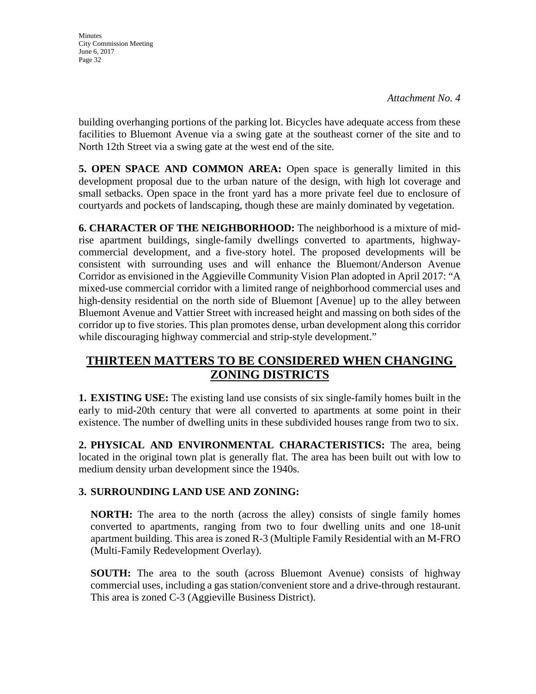building overhanging portions of the parking lot. Bicycles have adequate access from these facilities to Bluemont Avenue via a swing gate at the southeast corner of the site and to North 12th Street via a swing gate at the west end of the site.

**5. OPEN SPACE AND COMMON AREA:** Open space is generally limited in this development proposal due to the urban nature of the design, with high lot coverage and small setbacks. Open space in the front yard has a more private feel due to enclosure of courtyards and pockets of landscaping, though these are mainly dominated by vegetation.

**6. CHARACTER OF THE NEIGHBORHOOD:** The neighborhood is a mixture of midrise apartment buildings, single-family dwellings converted to apartments, highwaycommercial development, and a five-story hotel. The proposed developments will be consistent with surrounding uses and will enhance the Bluemont/Anderson Avenue Corridor as envisioned in the Aggieville Community Vision Plan adopted in April 2017: "A mixed-use commercial corridor with a limited range of neighborhood commercial uses and high-density residential on the north side of Bluemont [Avenue] up to the alley between Bluemont Avenue and Vattier Street with increased height and massing on both sides of the corridor up to five stories. This plan promotes dense, urban development along this corridor while discouraging highway commercial and strip-style development."

# **THIRTEEN MATTERS TO BE CONSIDERED WHEN CHANGING ZONING DISTRICTS**

**1. EXISTING USE:** The existing land use consists of six single-family homes built in the early to mid-20th century that were all converted to apartments at some point in their existence. The number of dwelling units in these subdivided houses range from two to six.

**2. PHYSICAL AND ENVIRONMENTAL CHARACTERISTICS:** The area, being located in the original town plat is generally flat. The area has been built out with low to medium density urban development since the 1940s.

# **3. SURROUNDING LAND USE AND ZONING:**

**NORTH:** The area to the north (across the alley) consists of single family homes converted to apartments, ranging from two to four dwelling units and one 18-unit apartment building. This area is zoned R-3 (Multiple Family Residential with an M-FRO (Multi-Family Redevelopment Overlay).

**SOUTH:** The area to the south (across Bluemont Avenue) consists of highway commercial uses, including a gas station/convenient store and a drive-through restaurant. This area is zoned C-3 (Aggieville Business District).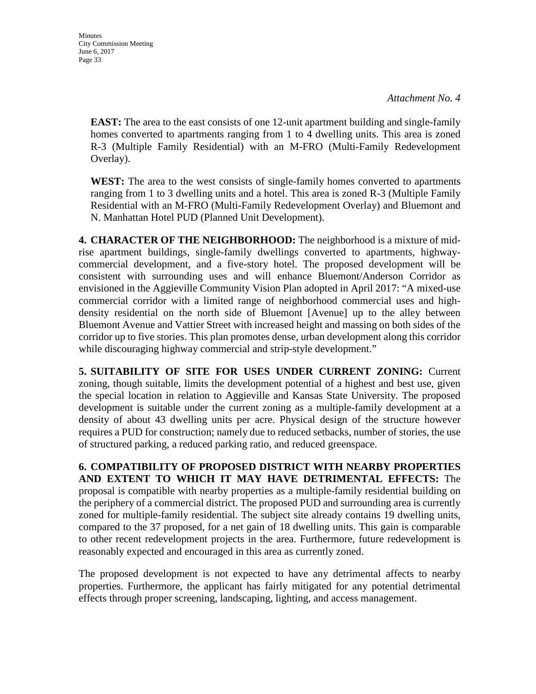**Minutes** City Commission Meeting June 6, 2017 Page 33

> **EAST:** The area to the east consists of one 12-unit apartment building and single-family homes converted to apartments ranging from 1 to 4 dwelling units. This area is zoned R-3 (Multiple Family Residential) with an M-FRO (Multi-Family Redevelopment Overlay).

> **WEST:** The area to the west consists of single-family homes converted to apartments ranging from 1 to 3 dwelling units and a hotel. This area is zoned R-3 (Multiple Family Residential with an M-FRO (Multi-Family Redevelopment Overlay) and Bluemont and N. Manhattan Hotel PUD (Planned Unit Development).

**4. CHARACTER OF THE NEIGHBORHOOD:** The neighborhood is a mixture of midrise apartment buildings, single-family dwellings converted to apartments, highwaycommercial development, and a five-story hotel. The proposed development will be consistent with surrounding uses and will enhance Bluemont/Anderson Corridor as envisioned in the Aggieville Community Vision Plan adopted in April 2017: "A mixed-use commercial corridor with a limited range of neighborhood commercial uses and highdensity residential on the north side of Bluemont [Avenue] up to the alley between Bluemont Avenue and Vattier Street with increased height and massing on both sides of the corridor up to five stories. This plan promotes dense, urban development along this corridor while discouraging highway commercial and strip-style development."

**5. SUITABILITY OF SITE FOR USES UNDER CURRENT ZONING:** Current zoning, though suitable, limits the development potential of a highest and best use, given the special location in relation to Aggieville and Kansas State University. The proposed development is suitable under the current zoning as a multiple-family development at a density of about 43 dwelling units per acre. Physical design of the structure however requires a PUD for construction; namely due to reduced setbacks, number of stories, the use of structured parking, a reduced parking ratio, and reduced greenspace.

**6. COMPATIBILITY OF PROPOSED DISTRICT WITH NEARBY PROPERTIES AND EXTENT TO WHICH IT MAY HAVE DETRIMENTAL EFFECTS:** The proposal is compatible with nearby properties as a multiple-family residential building on the periphery of a commercial district. The proposed PUD and surrounding area is currently zoned for multiple-family residential. The subject site already contains 19 dwelling units, compared to the 37 proposed, for a net gain of 18 dwelling units. This gain is comparable to other recent redevelopment projects in the area. Furthermore, future redevelopment is reasonably expected and encouraged in this area as currently zoned.

The proposed development is not expected to have any detrimental affects to nearby properties. Furthermore, the applicant has fairly mitigated for any potential detrimental effects through proper screening, landscaping, lighting, and access management.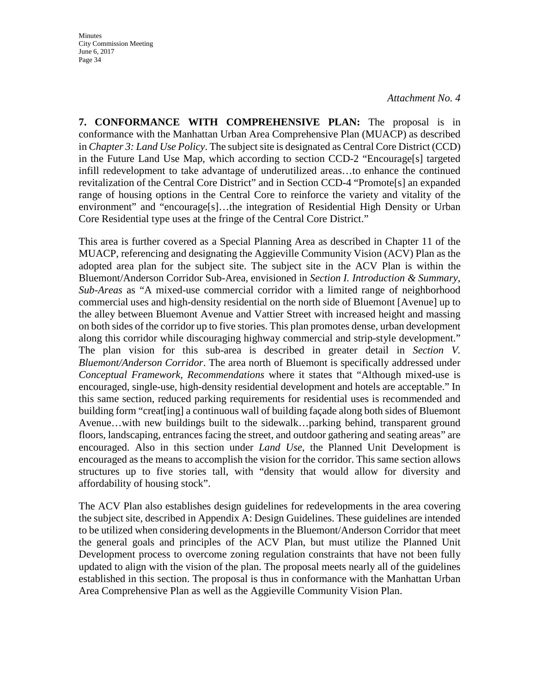*Attachment No. 4*

**7. CONFORMANCE WITH COMPREHENSIVE PLAN:** The proposal is in conformance with the Manhattan Urban Area Comprehensive Plan (MUACP) as described in *Chapter 3: Land Use Policy*. The subject site is designated as Central Core District (CCD) in the Future Land Use Map, which according to section CCD-2 "Encourage[s] targeted infill redevelopment to take advantage of underutilized areas…to enhance the continued revitalization of the Central Core District" and in Section CCD-4 "Promote[s] an expanded range of housing options in the Central Core to reinforce the variety and vitality of the environment" and "encourage[s]…the integration of Residential High Density or Urban Core Residential type uses at the fringe of the Central Core District."

This area is further covered as a Special Planning Area as described in Chapter 11 of the MUACP, referencing and designating the Aggieville Community Vision (ACV) Plan as the adopted area plan for the subject site. The subject site in the ACV Plan is within the Bluemont/Anderson Corridor Sub-Area, envisioned in *Section I. Introduction & Summary*, *Sub-Areas* as "A mixed-use commercial corridor with a limited range of neighborhood commercial uses and high-density residential on the north side of Bluemont [Avenue] up to the alley between Bluemont Avenue and Vattier Street with increased height and massing on both sides of the corridor up to five stories. This plan promotes dense, urban development along this corridor while discouraging highway commercial and strip-style development." The plan vision for this sub-area is described in greater detail in *Section V. Bluemont/Anderson Corridor*. The area north of Bluemont is specifically addressed under *Conceptual Framework, Recommendations* where it states that "Although mixed-use is encouraged, single-use, high-density residential development and hotels are acceptable." In this same section, reduced parking requirements for residential uses is recommended and building form "creat[ing] a continuous wall of building façade along both sides of Bluemont Avenue…with new buildings built to the sidewalk…parking behind, transparent ground floors, landscaping, entrances facing the street, and outdoor gathering and seating areas" are encouraged. Also in this section under *Land Use*, the Planned Unit Development is encouraged as the means to accomplish the vision for the corridor. This same section allows structures up to five stories tall, with "density that would allow for diversity and affordability of housing stock".

The ACV Plan also establishes design guidelines for redevelopments in the area covering the subject site, described in Appendix A: Design Guidelines. These guidelines are intended to be utilized when considering developments in the Bluemont/Anderson Corridor that meet the general goals and principles of the ACV Plan, but must utilize the Planned Unit Development process to overcome zoning regulation constraints that have not been fully updated to align with the vision of the plan. The proposal meets nearly all of the guidelines established in this section. The proposal is thus in conformance with the Manhattan Urban Area Comprehensive Plan as well as the Aggieville Community Vision Plan.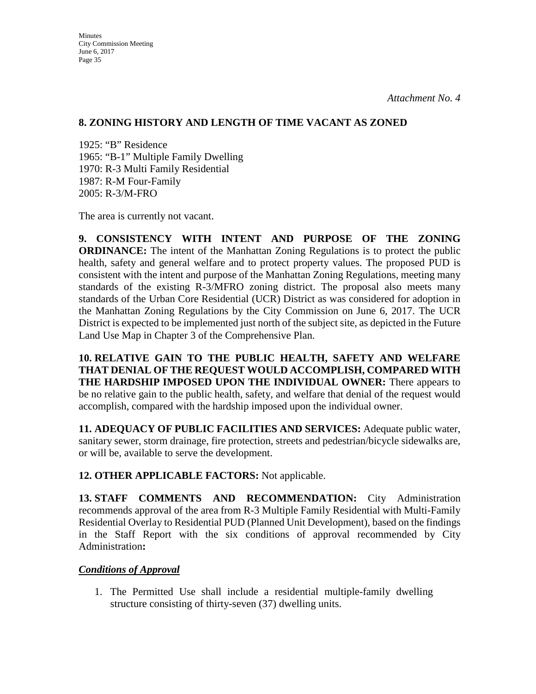#### **8. ZONING HISTORY AND LENGTH OF TIME VACANT AS ZONED**

1925: "B" Residence 1965: "B-1" Multiple Family Dwelling 1970: R-3 Multi Family Residential 1987: R-M Four-Family 2005: R-3/M-FRO

The area is currently not vacant.

**9. CONSISTENCY WITH INTENT AND PURPOSE OF THE ZONING ORDINANCE:** The intent of the Manhattan Zoning Regulations is to protect the public health, safety and general welfare and to protect property values. The proposed PUD is consistent with the intent and purpose of the Manhattan Zoning Regulations, meeting many standards of the existing R-3/MFRO zoning district. The proposal also meets many standards of the Urban Core Residential (UCR) District as was considered for adoption in the Manhattan Zoning Regulations by the City Commission on June 6, 2017. The UCR District is expected to be implemented just north of the subject site, as depicted in the Future Land Use Map in Chapter 3 of the Comprehensive Plan.

**10. RELATIVE GAIN TO THE PUBLIC HEALTH, SAFETY AND WELFARE THAT DENIAL OF THE REQUEST WOULD ACCOMPLISH, COMPARED WITH THE HARDSHIP IMPOSED UPON THE INDIVIDUAL OWNER:** There appears to be no relative gain to the public health, safety, and welfare that denial of the request would accomplish, compared with the hardship imposed upon the individual owner.

**11. ADEQUACY OF PUBLIC FACILITIES AND SERVICES:** Adequate public water, sanitary sewer, storm drainage, fire protection, streets and pedestrian/bicycle sidewalks are, or will be, available to serve the development.

**12. OTHER APPLICABLE FACTORS:** Not applicable.

**13. STAFF COMMENTS AND RECOMMENDATION:** City Administration recommends approval of the area from R-3 Multiple Family Residential with Multi-Family Residential Overlay to Residential PUD (Planned Unit Development), based on the findings in the Staff Report with the six conditions of approval recommended by City Administration**:**

# *Conditions of Approval*

1. The Permitted Use shall include a residential multiple-family dwelling structure consisting of thirty-seven (37) dwelling units.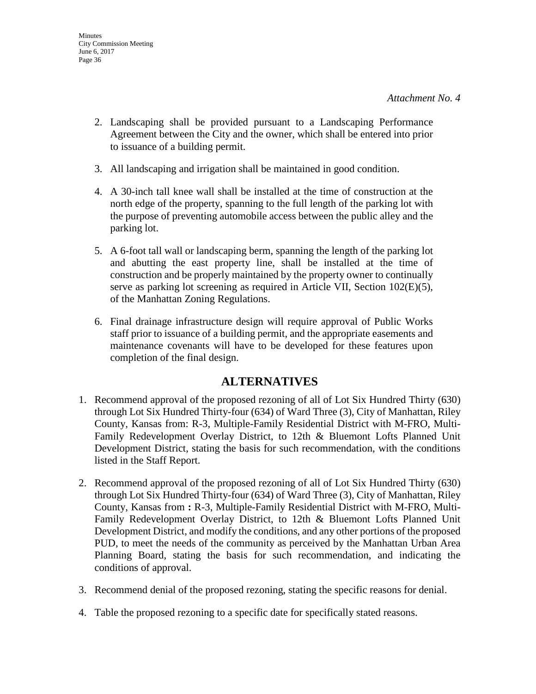- 2. Landscaping shall be provided pursuant to a Landscaping Performance Agreement between the City and the owner, which shall be entered into prior to issuance of a building permit.
- 3. All landscaping and irrigation shall be maintained in good condition.
- 4. A 30-inch tall knee wall shall be installed at the time of construction at the north edge of the property, spanning to the full length of the parking lot with the purpose of preventing automobile access between the public alley and the parking lot.
- 5. A 6-foot tall wall or landscaping berm, spanning the length of the parking lot and abutting the east property line, shall be installed at the time of construction and be properly maintained by the property owner to continually serve as parking lot screening as required in Article VII, Section 102(E)(5), of the Manhattan Zoning Regulations.
- 6. Final drainage infrastructure design will require approval of Public Works staff prior to issuance of a building permit, and the appropriate easements and maintenance covenants will have to be developed for these features upon completion of the final design.

# **ALTERNATIVES**

- 1. Recommend approval of the proposed rezoning of all of Lot Six Hundred Thirty (630) through Lot Six Hundred Thirty-four (634) of Ward Three (3), City of Manhattan, Riley County, Kansas from: R-3, Multiple-Family Residential District with M-FRO, Multi-Family Redevelopment Overlay District, to 12th & Bluemont Lofts Planned Unit Development District, stating the basis for such recommendation, with the conditions listed in the Staff Report.
- 2. Recommend approval of the proposed rezoning of all of Lot Six Hundred Thirty (630) through Lot Six Hundred Thirty-four (634) of Ward Three (3), City of Manhattan, Riley County, Kansas from **:** R-3, Multiple-Family Residential District with M-FRO, Multi-Family Redevelopment Overlay District, to 12th & Bluemont Lofts Planned Unit Development District, and modify the conditions, and any other portions of the proposed PUD, to meet the needs of the community as perceived by the Manhattan Urban Area Planning Board, stating the basis for such recommendation, and indicating the conditions of approval.
- 3. Recommend denial of the proposed rezoning, stating the specific reasons for denial.
- 4. Table the proposed rezoning to a specific date for specifically stated reasons.